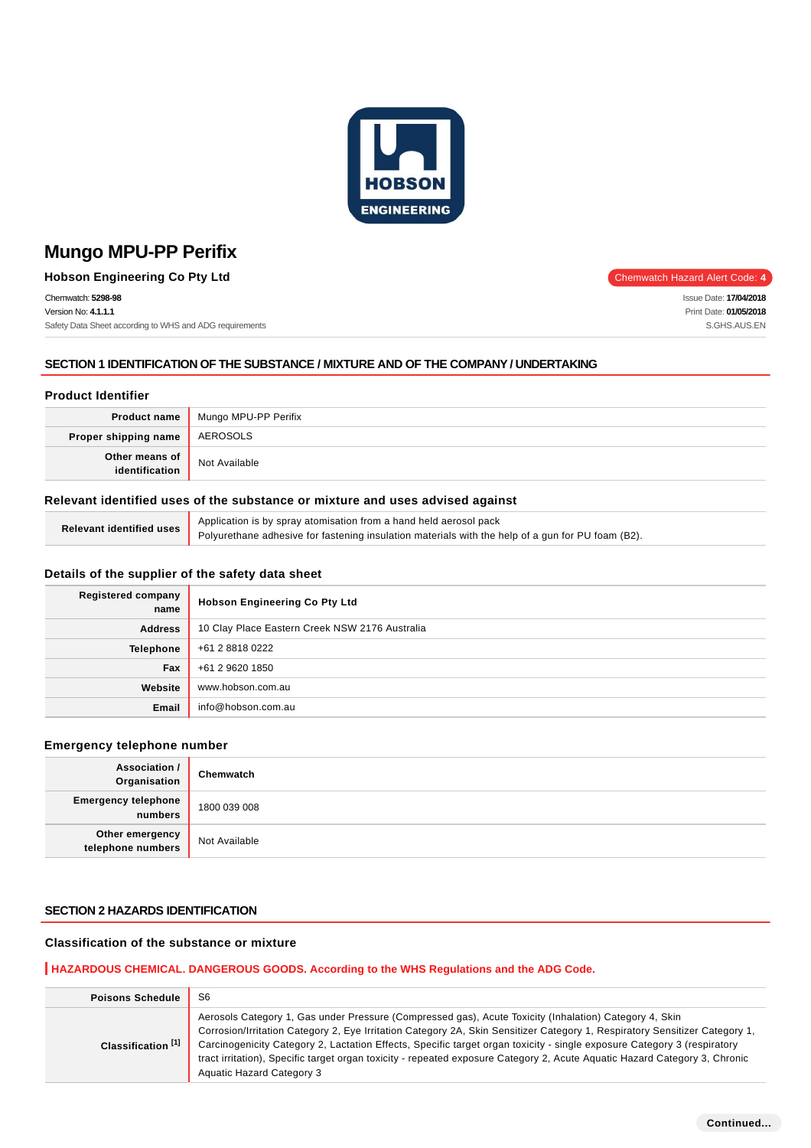

**Hobson Engineering Co Pty Ltd** Chemwatch Hazard Alert Code: 4

Chemwatch: **5298-98**

Version No: **4.1.1.1** Safety Data Sheet according to WHS and ADG requirements

## **SECTION 1 IDENTIFICATION OF THE SUBSTANCE / MIXTURE AND OF THE COMPANY / UNDERTAKING**

## **Product Identifier**

|                                  | <b>Product name</b> Mungo MPU-PP Perifix |
|----------------------------------|------------------------------------------|
| Proper shipping name             | AEROSOLS                                 |
| Other means of<br>identification | Not Available                            |

## **Relevant identified uses of the substance or mixture and uses advised against**

| Relevant identified uses | Application is by spray atomisation from a hand held aerosol pack                                 |
|--------------------------|---------------------------------------------------------------------------------------------------|
|                          | Polyurethane adhesive for fastening insulation materials with the help of a gun for PU foam (B2). |

## **Details of the supplier of the safety data sheet**

| <b>Registered company</b><br>name | <b>Hobson Engineering Co Pty Ltd</b>           |
|-----------------------------------|------------------------------------------------|
| <b>Address</b>                    | 10 Clay Place Eastern Creek NSW 2176 Australia |
| <b>Telephone</b>                  | +61 2 8818 0222                                |
| Fax                               | +61 2 9620 1850                                |
| Website                           | www.hobson.com.au                              |
| Email                             | info@hobson.com.au                             |

#### **Emergency telephone number**

| Association /<br>Organisation         | Chemwatch     |
|---------------------------------------|---------------|
| <b>Emergency telephone</b><br>numbers | 1800 039 008  |
| Other emergency<br>telephone numbers  | Not Available |

## **SECTION 2 HAZARDS IDENTIFICATION**

## **Classification of the substance or mixture**

## **HAZARDOUS CHEMICAL. DANGEROUS GOODS. According to the WHS Regulations and the ADG Code.**

| <b>Poisons Schedule</b>       | S <sub>6</sub>                                                                                                                                                                                                                                                                                                                                                                                                                                                                                                                     |
|-------------------------------|------------------------------------------------------------------------------------------------------------------------------------------------------------------------------------------------------------------------------------------------------------------------------------------------------------------------------------------------------------------------------------------------------------------------------------------------------------------------------------------------------------------------------------|
| Classification <sup>[1]</sup> | Aerosols Category 1, Gas under Pressure (Compressed gas), Acute Toxicity (Inhalation) Category 4, Skin<br>Corrosion/Irritation Category 2, Eye Irritation Category 2A, Skin Sensitizer Category 1, Respiratory Sensitizer Category 1,<br>Carcinogenicity Category 2, Lactation Effects, Specific target organ toxicity - single exposure Category 3 (respiratory<br>tract irritation), Specific target organ toxicity - repeated exposure Category 2, Acute Aquatic Hazard Category 3, Chronic<br><b>Aquatic Hazard Category 3</b> |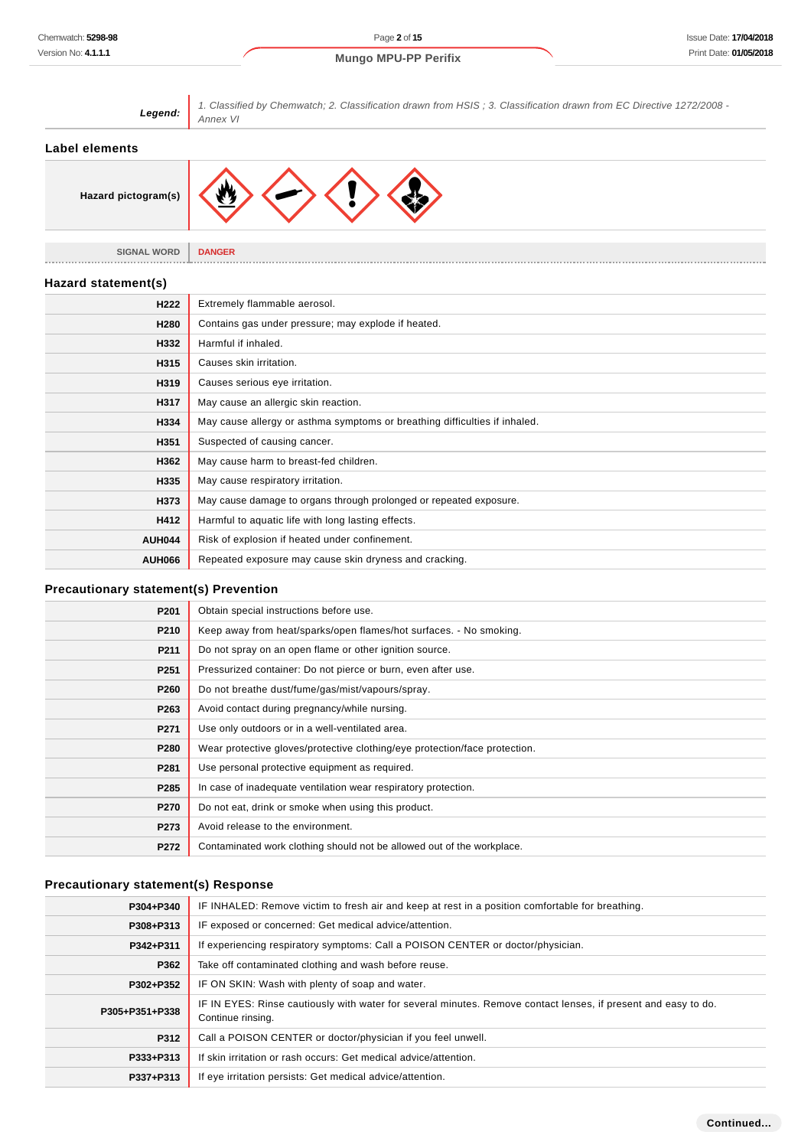1. Classified by Chemwatch; 2. Classification drawn from HSIS ; 3. Classification drawn from EC Directive 1272/2008 -



| ouspected of causing carloci.                                      |
|--------------------------------------------------------------------|
| May cause harm to breast-fed children.                             |
| May cause respiratory irritation.                                  |
| May cause damage to organs through prolonged or repeated exposure. |
| Harmful to aquatic life with long lasting effects.                 |
| Risk of explosion if heated under confinement.                     |
| Repeated exposure may cause skin dryness and cracking.             |
|                                                                    |

#### **Precautionary statement(s) Prevention**

| P <sub>201</sub> | Obtain special instructions before use.                                    |
|------------------|----------------------------------------------------------------------------|
| P210             | Keep away from heat/sparks/open flames/hot surfaces. - No smoking.         |
| P211             | Do not spray on an open flame or other ignition source.                    |
| P <sub>251</sub> | Pressurized container: Do not pierce or burn, even after use.              |
| P <sub>260</sub> | Do not breathe dust/fume/gas/mist/vapours/spray.                           |
| P263             | Avoid contact during pregnancy/while nursing.                              |
| P271             | Use only outdoors or in a well-ventilated area.                            |
| P280             | Wear protective gloves/protective clothing/eye protection/face protection. |
| P281             | Use personal protective equipment as required.                             |
| P285             | In case of inadequate ventilation wear respiratory protection.             |
| P270             | Do not eat, drink or smoke when using this product.                        |
| P273             | Avoid release to the environment.                                          |
| P272             | Contaminated work clothing should not be allowed out of the workplace.     |

## **Precautionary statement(s) Response**

| P304+P340      | IF INHALED: Remove victim to fresh air and keep at rest in a position comfortable for breathing.                                    |  |  |
|----------------|-------------------------------------------------------------------------------------------------------------------------------------|--|--|
| P308+P313      | IF exposed or concerned: Get medical advice/attention.                                                                              |  |  |
| P342+P311      | If experiencing respiratory symptoms: Call a POISON CENTER or doctor/physician.                                                     |  |  |
| P362           | Take off contaminated clothing and wash before reuse.                                                                               |  |  |
| P302+P352      | IF ON SKIN: Wash with plenty of soap and water.                                                                                     |  |  |
| P305+P351+P338 | IF IN EYES: Rinse cautiously with water for several minutes. Remove contact lenses, if present and easy to do.<br>Continue rinsing. |  |  |
| P312           | Call a POISON CENTER or doctor/physician if you feel unwell.                                                                        |  |  |
| P333+P313      | If skin irritation or rash occurs: Get medical advice/attention.                                                                    |  |  |
| P337+P313      | If eve irritation persists: Get medical advice/attention.                                                                           |  |  |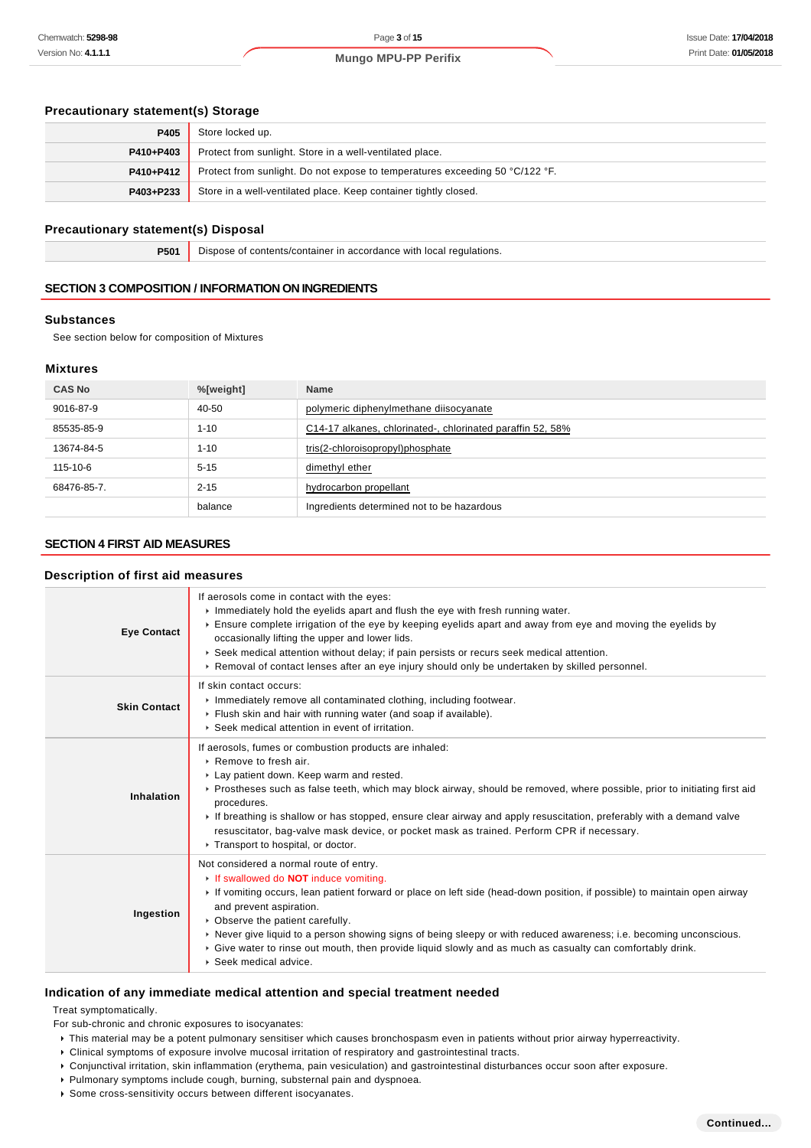## **Precautionary statement(s) Storage**

| P405      | Store locked up.                                                             |
|-----------|------------------------------------------------------------------------------|
| P410+P403 | Protect from sunlight. Store in a well-ventilated place.                     |
| P410+P412 | Protect from sunlight. Do not expose to temperatures exceeding 50 °C/122 °F. |
| P403+P233 | Store in a well-ventilated place. Keep container tightly closed.             |

## **Precautionary statement(s) Disposal**

**P501** Dispose of contents/container in accordance with local regulations.

## **SECTION 3 COMPOSITION / INFORMATION ON INGREDIENTS**

## **Substances**

See section below for composition of Mixtures

## **Mixtures**

| <b>CAS No</b> | %[weight] | <b>Name</b>                                                |
|---------------|-----------|------------------------------------------------------------|
| 9016-87-9     | 40-50     | polymeric diphenylmethane diisocyanate                     |
| 85535-85-9    | $1 - 10$  | C14-17 alkanes, chlorinated-, chlorinated paraffin 52, 58% |
| 13674-84-5    | $1 - 10$  | tris(2-chloroisopropyl)phosphate                           |
| 115-10-6      | $5 - 15$  | dimethyl ether                                             |
| 68476-85-7.   | $2 - 15$  | hydrocarbon propellant                                     |
|               | balance   | Ingredients determined not to be hazardous                 |

## **SECTION 4 FIRST AID MEASURES**

#### **Description of first aid measures**

| <b>Eye Contact</b>  | If aerosols come in contact with the eyes:<br>Inmediately hold the eyelids apart and flush the eye with fresh running water.<br>▶ Ensure complete irrigation of the eye by keeping eyelids apart and away from eye and moving the eyelids by<br>occasionally lifting the upper and lower lids.<br>► Seek medical attention without delay; if pain persists or recurs seek medical attention.<br>► Removal of contact lenses after an eye injury should only be undertaken by skilled personnel.                                                  |
|---------------------|--------------------------------------------------------------------------------------------------------------------------------------------------------------------------------------------------------------------------------------------------------------------------------------------------------------------------------------------------------------------------------------------------------------------------------------------------------------------------------------------------------------------------------------------------|
| <b>Skin Contact</b> | If skin contact occurs:<br>Inmediately remove all contaminated clothing, including footwear.<br>Flush skin and hair with running water (and soap if available).<br>▶ Seek medical attention in event of irritation.                                                                                                                                                                                                                                                                                                                              |
| Inhalation          | If aerosols, fumes or combustion products are inhaled:<br>$\triangleright$ Remove to fresh air.<br>Lay patient down. Keep warm and rested.<br>▶ Prostheses such as false teeth, which may block airway, should be removed, where possible, prior to initiating first aid<br>procedures.<br>If breathing is shallow or has stopped, ensure clear airway and apply resuscitation, preferably with a demand valve<br>resuscitator, bag-valve mask device, or pocket mask as trained. Perform CPR if necessary.<br>Transport to hospital, or doctor. |
| Ingestion           | Not considered a normal route of entry.<br>If swallowed do NOT induce vomiting.<br>If vomiting occurs, lean patient forward or place on left side (head-down position, if possible) to maintain open airway<br>and prevent aspiration.<br>• Observe the patient carefully.<br>▶ Never give liquid to a person showing signs of being sleepy or with reduced awareness; i.e. becoming unconscious.<br>▶ Give water to rinse out mouth, then provide liquid slowly and as much as casualty can comfortably drink.<br>▶ Seek medical advice.        |

## **Indication of any immediate medical attention and special treatment needed**

Treat symptomatically.

- For sub-chronic and chronic exposures to isocyanates:
- This material may be a potent pulmonary sensitiser which causes bronchospasm even in patients without prior airway hyperreactivity.
- Clinical symptoms of exposure involve mucosal irritation of respiratory and gastrointestinal tracts.
- Conjunctival irritation, skin inflammation (erythema, pain vesiculation) and gastrointestinal disturbances occur soon after exposure.
- Pulmonary symptoms include cough, burning, substernal pain and dyspnoea.
- Some cross-sensitivity occurs between different isocyanates.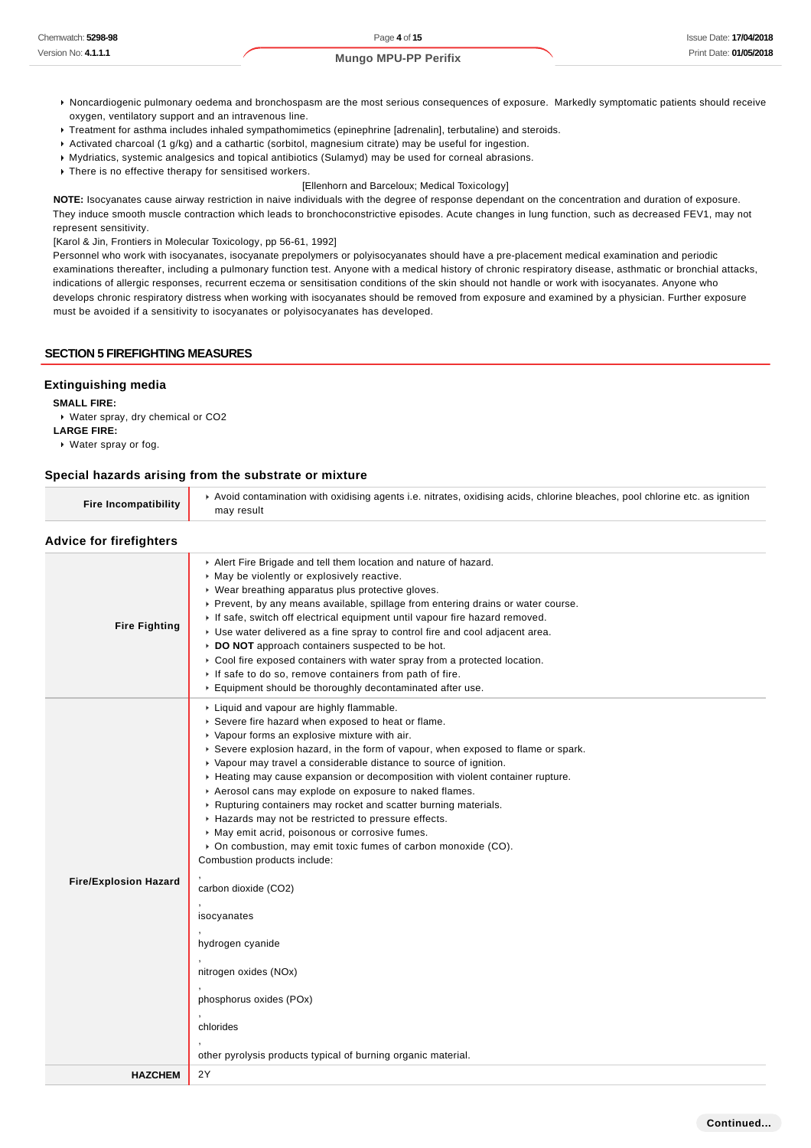- Noncardiogenic pulmonary oedema and bronchospasm are the most serious consequences of exposure. Markedly symptomatic patients should receive oxygen, ventilatory support and an intravenous line.
- Treatment for asthma includes inhaled sympathomimetics (epinephrine [adrenalin], terbutaline) and steroids.
- Activated charcoal (1 g/kg) and a cathartic (sorbitol, magnesium citrate) may be useful for ingestion.
- Mydriatics, systemic analgesics and topical antibiotics (Sulamyd) may be used for corneal abrasions.
- $\overline{\phantom{a}}$  There is no effective therapy for sensitised workers.
	- [Ellenhorn and Barceloux; Medical Toxicology]

**NOTE:** Isocyanates cause airway restriction in naive individuals with the degree of response dependant on the concentration and duration of exposure. They induce smooth muscle contraction which leads to bronchoconstrictive episodes. Acute changes in lung function, such as decreased FEV1, may not represent sensitivity.

[Karol & Jin, Frontiers in Molecular Toxicology, pp 56-61, 1992]

Personnel who work with isocyanates, isocyanate prepolymers or polyisocyanates should have a pre-placement medical examination and periodic examinations thereafter, including a pulmonary function test. Anyone with a medical history of chronic respiratory disease, asthmatic or bronchial attacks, indications of allergic responses, recurrent eczema or sensitisation conditions of the skin should not handle or work with isocyanates. Anyone who develops chronic respiratory distress when working with isocyanates should be removed from exposure and examined by a physician. Further exposure must be avoided if a sensitivity to isocyanates or polyisocyanates has developed.

#### **SECTION 5 FIREFIGHTING MEASURES**

#### **Extinguishing media**

**SMALL FIRE:**

Water spray, dry chemical or CO2

**LARGE FIRE:**

Water spray or fog.

#### **Special hazards arising from the substrate or mixture**

| <b>Fire Incompatibility</b> | ► Avoid contamination with oxidising agents i.e. nitrates, oxidising acids, chlorine bleaches, pool chlorine etc. as ignition |
|-----------------------------|-------------------------------------------------------------------------------------------------------------------------------|
|                             | may result                                                                                                                    |

#### **Advice for firefighters**

| LANDE IN IIIEIINIIEIS        |                                                                                                                                                                                                                                                                                                                                                                                                                                                                                                                                                                                                                                                                                                                                                                                                                                                                                                                               |
|------------------------------|-------------------------------------------------------------------------------------------------------------------------------------------------------------------------------------------------------------------------------------------------------------------------------------------------------------------------------------------------------------------------------------------------------------------------------------------------------------------------------------------------------------------------------------------------------------------------------------------------------------------------------------------------------------------------------------------------------------------------------------------------------------------------------------------------------------------------------------------------------------------------------------------------------------------------------|
| <b>Fire Fighting</b>         | Alert Fire Brigade and tell them location and nature of hazard.<br>• May be violently or explosively reactive.<br>• Wear breathing apparatus plus protective gloves.<br>► Prevent, by any means available, spillage from entering drains or water course.<br>If safe, switch off electrical equipment until vapour fire hazard removed.<br>• Use water delivered as a fine spray to control fire and cool adjacent area.<br>DO NOT approach containers suspected to be hot.<br>Cool fire exposed containers with water spray from a protected location.<br>If safe to do so, remove containers from path of fire.<br>Equipment should be thoroughly decontaminated after use.                                                                                                                                                                                                                                                 |
| <b>Fire/Explosion Hazard</b> | Liquid and vapour are highly flammable.<br>Severe fire hazard when exposed to heat or flame.<br>▶ Vapour forms an explosive mixture with air.<br>► Severe explosion hazard, in the form of vapour, when exposed to flame or spark.<br>▶ Vapour may travel a considerable distance to source of ignition.<br>Heating may cause expansion or decomposition with violent container rupture.<br>Aerosol cans may explode on exposure to naked flames.<br>▶ Rupturing containers may rocket and scatter burning materials.<br>Hazards may not be restricted to pressure effects.<br>▶ May emit acrid, poisonous or corrosive fumes.<br>• On combustion, may emit toxic fumes of carbon monoxide (CO).<br>Combustion products include:<br>carbon dioxide (CO2)<br>isocyanates<br>hydrogen cyanide<br>nitrogen oxides (NOx)<br>phosphorus oxides (POx)<br>chlorides<br>other pyrolysis products typical of burning organic material. |
| <b>HAZCHEM</b>               | 2Y                                                                                                                                                                                                                                                                                                                                                                                                                                                                                                                                                                                                                                                                                                                                                                                                                                                                                                                            |
|                              |                                                                                                                                                                                                                                                                                                                                                                                                                                                                                                                                                                                                                                                                                                                                                                                                                                                                                                                               |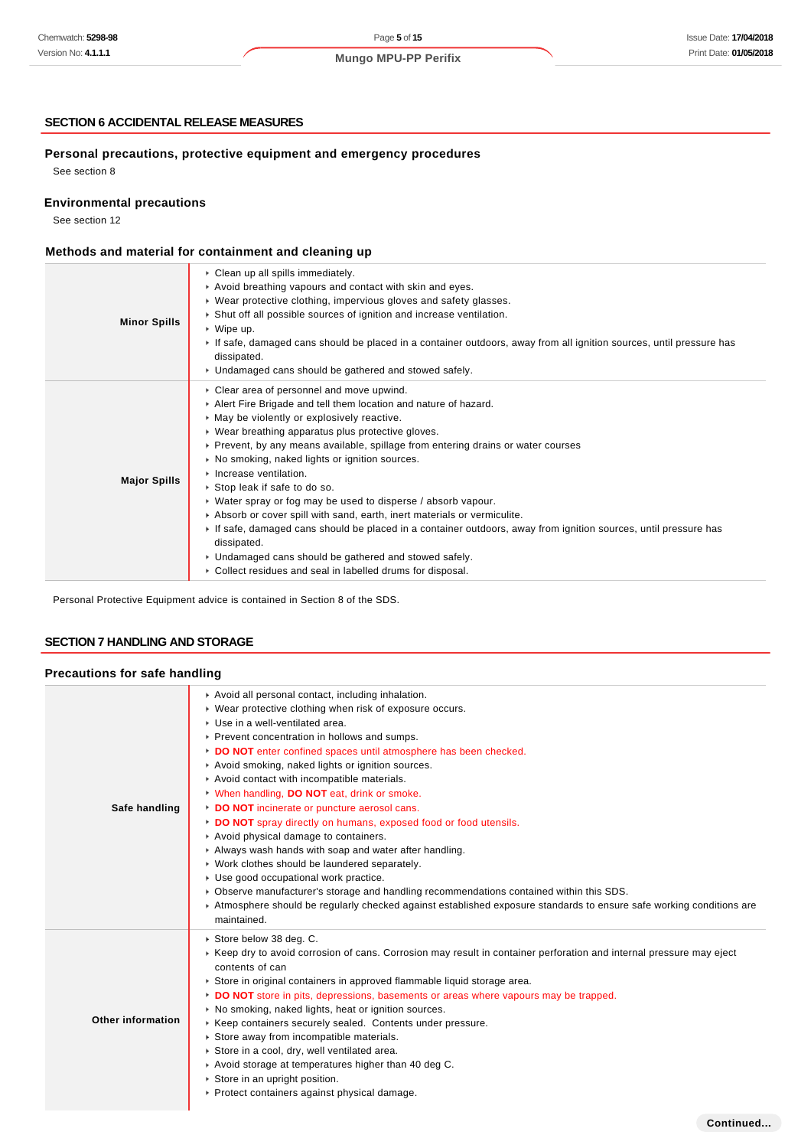#### **SECTION 6 ACCIDENTAL RELEASE MEASURES**

## **Personal precautions, protective equipment and emergency procedures**

See section 8

**Environmental precautions**

See section 12

# **Methods and material for containment and cleaning up**

| <b>Minor Spills</b> | Clean up all spills immediately.<br>Avoid breathing vapours and contact with skin and eyes.<br>► Wear protective clothing, impervious gloves and safety glasses.<br>Shut off all possible sources of ignition and increase ventilation.<br>$\triangleright$ Wipe up.<br>If safe, damaged cans should be placed in a container outdoors, away from all ignition sources, until pressure has<br>dissipated.<br>• Undamaged cans should be gathered and stowed safely.                                                                                                                                                                                                                                                                                                                                                                     |
|---------------------|-----------------------------------------------------------------------------------------------------------------------------------------------------------------------------------------------------------------------------------------------------------------------------------------------------------------------------------------------------------------------------------------------------------------------------------------------------------------------------------------------------------------------------------------------------------------------------------------------------------------------------------------------------------------------------------------------------------------------------------------------------------------------------------------------------------------------------------------|
| <b>Major Spills</b> | Clear area of personnel and move upwind.<br>Alert Fire Brigade and tell them location and nature of hazard.<br>• May be violently or explosively reactive.<br>▶ Wear breathing apparatus plus protective gloves.<br>► Prevent, by any means available, spillage from entering drains or water courses<br>• No smoking, naked lights or ignition sources.<br>Increase ventilation.<br>▶ Stop leak if safe to do so.<br>$\triangleright$ Water spray or fog may be used to disperse / absorb vapour.<br>Absorb or cover spill with sand, earth, inert materials or vermiculite.<br>If safe, damaged cans should be placed in a container outdoors, away from ignition sources, until pressure has<br>dissipated.<br>• Undamaged cans should be gathered and stowed safely.<br>▶ Collect residues and seal in labelled drums for disposal. |

Personal Protective Equipment advice is contained in Section 8 of the SDS.

#### **SECTION 7 HANDLING AND STORAGE**

## **Precautions for safe handling**

| Safe handling     | Avoid all personal contact, including inhalation.<br>• Wear protective clothing when risk of exposure occurs.<br>▶ Use in a well-ventilated area.<br>▶ Prevent concentration in hollows and sumps.<br>DO NOT enter confined spaces until atmosphere has been checked.<br>Avoid smoking, naked lights or ignition sources.<br>Avoid contact with incompatible materials.<br>V When handling, DO NOT eat, drink or smoke.<br>DO NOT incinerate or puncture aerosol cans.<br>DO NOT spray directly on humans, exposed food or food utensils.<br>Avoid physical damage to containers.<br>Always wash hands with soap and water after handling.<br>• Work clothes should be laundered separately.<br>• Use good occupational work practice.<br>► Observe manufacturer's storage and handling recommendations contained within this SDS.<br>Atmosphere should be regularly checked against established exposure standards to ensure safe working conditions are<br>maintained. |
|-------------------|--------------------------------------------------------------------------------------------------------------------------------------------------------------------------------------------------------------------------------------------------------------------------------------------------------------------------------------------------------------------------------------------------------------------------------------------------------------------------------------------------------------------------------------------------------------------------------------------------------------------------------------------------------------------------------------------------------------------------------------------------------------------------------------------------------------------------------------------------------------------------------------------------------------------------------------------------------------------------|
| Other information | ▶ Store below 38 deg. C.<br>► Keep dry to avoid corrosion of cans. Corrosion may result in container perforation and internal pressure may eject<br>contents of can<br>Store in original containers in approved flammable liquid storage area.<br>DO NOT store in pits, depressions, basements or areas where vapours may be trapped.<br>• No smoking, naked lights, heat or ignition sources.<br>▶ Keep containers securely sealed. Contents under pressure.<br>Store away from incompatible materials.<br>Store in a cool, dry, well ventilated area.<br>Avoid storage at temperatures higher than 40 deg C.<br>Store in an upright position.<br>▶ Protect containers against physical damage.                                                                                                                                                                                                                                                                         |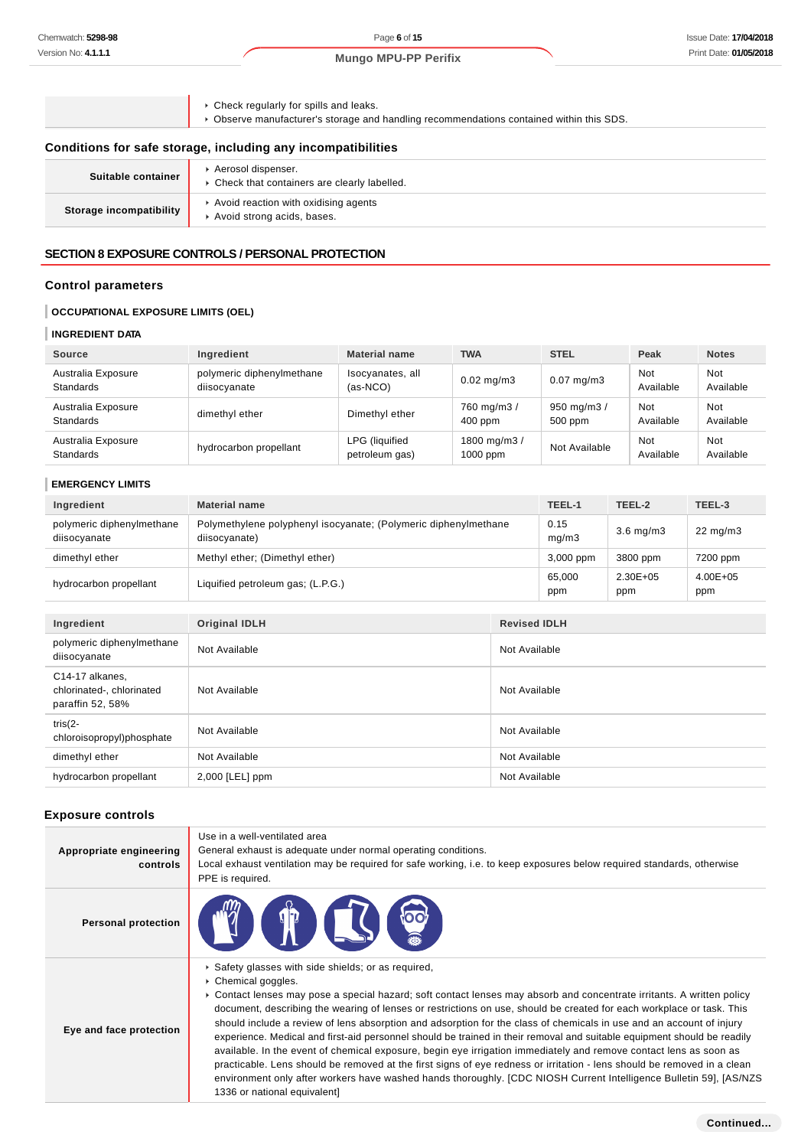#### Page **6** of **15**

**Mungo MPU-PP Perifix**

- Check regularly for spills and leaks.
- Observe manufacturer's storage and handling recommendations contained within this SDS.

## **Conditions for safe storage, including any incompatibilities**

| Suitable container      | Aerosol dispenser.<br>• Check that containers are clearly labelled. |
|-------------------------|---------------------------------------------------------------------|
| Storage incompatibility | Avoid reaction with oxidising agents<br>Avoid strong acids, bases.  |

#### **SECTION 8 EXPOSURE CONTROLS / PERSONAL PROTECTION**

## **Control parameters**

## **OCCUPATIONAL EXPOSURE LIMITS (OEL)**

#### **INGREDIENT DATA**

| Source                                 | Ingredient                                | <b>Material name</b>                    | <b>TWA</b>                 | <b>STEL</b>            | Peak             | <b>Notes</b>     |
|----------------------------------------|-------------------------------------------|-----------------------------------------|----------------------------|------------------------|------------------|------------------|
| Australia Exposure<br><b>Standards</b> | polymeric diphenylmethane<br>diisocyanate | Isocyanates, all<br>$(as-NCO)$          | $0.02 \text{ mg/m}$ 3      | $0.07 \text{ mg/m}$ 3  | Not<br>Available | Not<br>Available |
| Australia Exposure<br><b>Standards</b> | dimethyl ether                            | Dimethyl ether                          | 760 mg/m3 /<br>$400$ ppm   | 950 mg/m3 /<br>500 ppm | Not<br>Available | Not<br>Available |
| Australia Exposure<br><b>Standards</b> | hydrocarbon propellant                    | <b>LPG</b> (liquified<br>petroleum gas) | 1800 mg/m3 /<br>$1000$ ppm | Not Available          | Not<br>Available | Not<br>Available |

# **EMERGENCY LIMITS**

| Ingredient                                                       | <b>Material name</b>                                                             |                     | TEEL-1        | TEEL-2              | TEEL-3              |
|------------------------------------------------------------------|----------------------------------------------------------------------------------|---------------------|---------------|---------------------|---------------------|
| polymeric diphenylmethane<br>diisocyanate                        | Polymethylene polyphenyl isocyanate; (Polymeric diphenylmethane<br>diisocyanate) |                     | 0.15<br>mg/m3 | $3.6$ mg/m $3$      | $22 \text{ mg/m}$   |
| dimethyl ether                                                   | Methyl ether; (Dimethyl ether)                                                   |                     | 3,000 ppm     | 3800 ppm            | 7200 ppm            |
| hydrocarbon propellant                                           | Liquified petroleum gas; (L.P.G.)                                                |                     | 65,000<br>ppm | $2.30E + 05$<br>ppm | $4.00E + 05$<br>ppm |
|                                                                  |                                                                                  |                     |               |                     |                     |
| Ingredient                                                       | <b>Original IDLH</b>                                                             | <b>Revised IDLH</b> |               |                     |                     |
| polymeric diphenylmethane<br>diisocyanate                        | Not Available                                                                    | Not Available       |               |                     |                     |
| C14-17 alkanes,<br>chlorinated-, chlorinated<br>paraffin 52, 58% | Not Available                                                                    | Not Available       |               |                     |                     |
| tris $(2 -$<br>chloroisopropyl)phosphate                         | Not Available                                                                    | Not Available       |               |                     |                     |
| dimethyl ether                                                   | Not Available                                                                    | Not Available       |               |                     |                     |
| hydrocarbon propellant                                           | $2,000$ [LEL] ppm                                                                | Not Available       |               |                     |                     |

## **Exposure controls**

| Appropriate engineering<br>controls | Use in a well-ventilated area<br>General exhaust is adequate under normal operating conditions.<br>Local exhaust ventilation may be required for safe working, i.e. to keep exposures below required standards, otherwise<br>PPE is required.                                                                                                                                                                                                                                                                                                                                                                                                                                                                                                                                                                                                                                                                                                                                        |
|-------------------------------------|--------------------------------------------------------------------------------------------------------------------------------------------------------------------------------------------------------------------------------------------------------------------------------------------------------------------------------------------------------------------------------------------------------------------------------------------------------------------------------------------------------------------------------------------------------------------------------------------------------------------------------------------------------------------------------------------------------------------------------------------------------------------------------------------------------------------------------------------------------------------------------------------------------------------------------------------------------------------------------------|
| <b>Personal protection</b>          | <b>CIP ILST</b><br>100                                                                                                                                                                                                                                                                                                                                                                                                                                                                                                                                                                                                                                                                                                                                                                                                                                                                                                                                                               |
| Eye and face protection             | Safety glasses with side shields; or as required,<br>▶ Chemical goggles.<br>► Contact lenses may pose a special hazard; soft contact lenses may absorb and concentrate irritants. A written policy<br>document, describing the wearing of lenses or restrictions on use, should be created for each workplace or task. This<br>should include a review of lens absorption and adsorption for the class of chemicals in use and an account of injury<br>experience. Medical and first-aid personnel should be trained in their removal and suitable equipment should be readily<br>available. In the event of chemical exposure, begin eye irrigation immediately and remove contact lens as soon as<br>practicable. Lens should be removed at the first signs of eye redness or irritation - lens should be removed in a clean<br>environment only after workers have washed hands thoroughly. [CDC NIOSH Current Intelligence Bulletin 59], [AS/NZS<br>1336 or national equivalent] |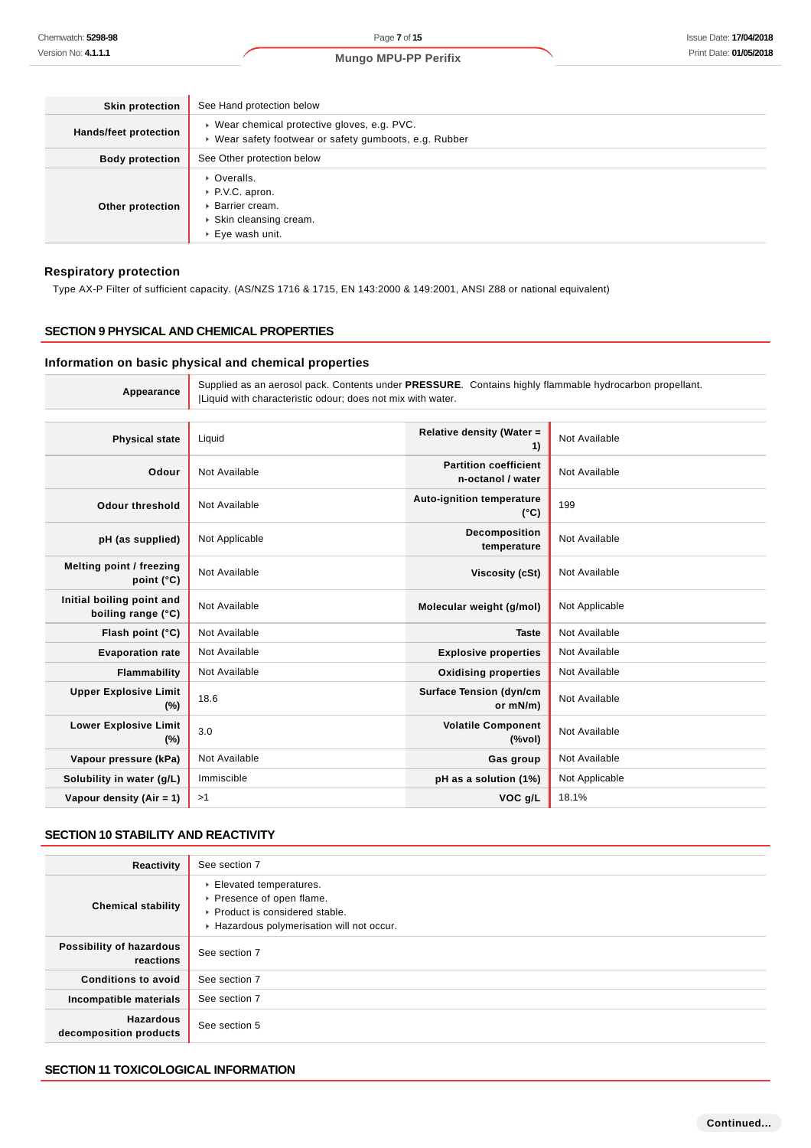| <b>Skin protection</b> | See Hand protection below                                                                                        |
|------------------------|------------------------------------------------------------------------------------------------------------------|
| Hands/feet protection  | ▶ Wear chemical protective gloves, e.g. PVC.<br>▶ Wear safety footwear or safety gumboots, e.g. Rubber           |
| <b>Body protection</b> | See Other protection below                                                                                       |
| Other protection       | • Overalls.<br>▶ P.V.C. apron.<br>▶ Barrier cream.<br>▶ Skin cleansing cream.<br>$\triangleright$ Eye wash unit. |

#### **Respiratory protection**

Type AX-P Filter of sufficient capacity. (AS/NZS 1716 & 1715, EN 143:2000 & 149:2001, ANSI Z88 or national equivalent)

#### **SECTION 9 PHYSICAL AND CHEMICAL PROPERTIES**

#### **Information on basic physical and chemical properties**

**Appearance** Supplied as an aerosol pack. Contents under **PRESSURE**. Contains highly flammable hydrocarbon propellant. |Liquid with characteristic odour; does not mix with water. **Physical state** Liquid **Relative density (Water = 1)** Not Available **Odour** Not Available **Partition coefficient n-octanol / water** Not Available **Odour threshold** Not Available **Auto-ignition temperature (°C)** 199 **pH (as supplied)** Not Applicable **Decomposition temperature** Not Available

|                                                 |               | temperature                                |                |
|-------------------------------------------------|---------------|--------------------------------------------|----------------|
| Melting point / freezing<br>point $(^{\circ}C)$ | Not Available | Viscosity (cSt)                            | Not Available  |
| Initial boiling point and<br>boiling range (°C) | Not Available | Molecular weight (g/mol)                   | Not Applicable |
| Flash point $(^{\circ}C)$                       | Not Available | <b>Taste</b>                               | Not Available  |
| <b>Evaporation rate</b>                         | Not Available | <b>Explosive properties</b>                | Not Available  |
| <b>Flammability</b>                             | Not Available | <b>Oxidising properties</b>                | Not Available  |
| <b>Upper Explosive Limit</b><br>$(\%)$          | 18.6          | <b>Surface Tension (dyn/cm</b><br>or mN/m) | Not Available  |
| <b>Lower Explosive Limit</b><br>$(\%)$          | 3.0           | <b>Volatile Component</b><br>(%vol)        | Not Available  |
| Vapour pressure (kPa)                           | Not Available | Gas group                                  | Not Available  |
| Solubility in water (g/L)                       | Immiscible    | pH as a solution (1%)                      | Not Applicable |
| Vapour density (Air = 1)                        | >1            | VOC <sub>g</sub> /L                        | 18.1%          |

#### **SECTION 10 STABILITY AND REACTIVITY**

| Reactivity                                 | See section 7                                                                                                                      |
|--------------------------------------------|------------------------------------------------------------------------------------------------------------------------------------|
| <b>Chemical stability</b>                  | Elevated temperatures.<br>▶ Presence of open flame.<br>▶ Product is considered stable.<br>Hazardous polymerisation will not occur. |
| Possibility of hazardous<br>reactions      | See section 7                                                                                                                      |
| <b>Conditions to avoid</b>                 | See section 7                                                                                                                      |
| Incompatible materials                     | See section 7                                                                                                                      |
| <b>Hazardous</b><br>decomposition products | See section 5                                                                                                                      |

## **SECTION 11 TOXICOLOGICAL INFORMATION**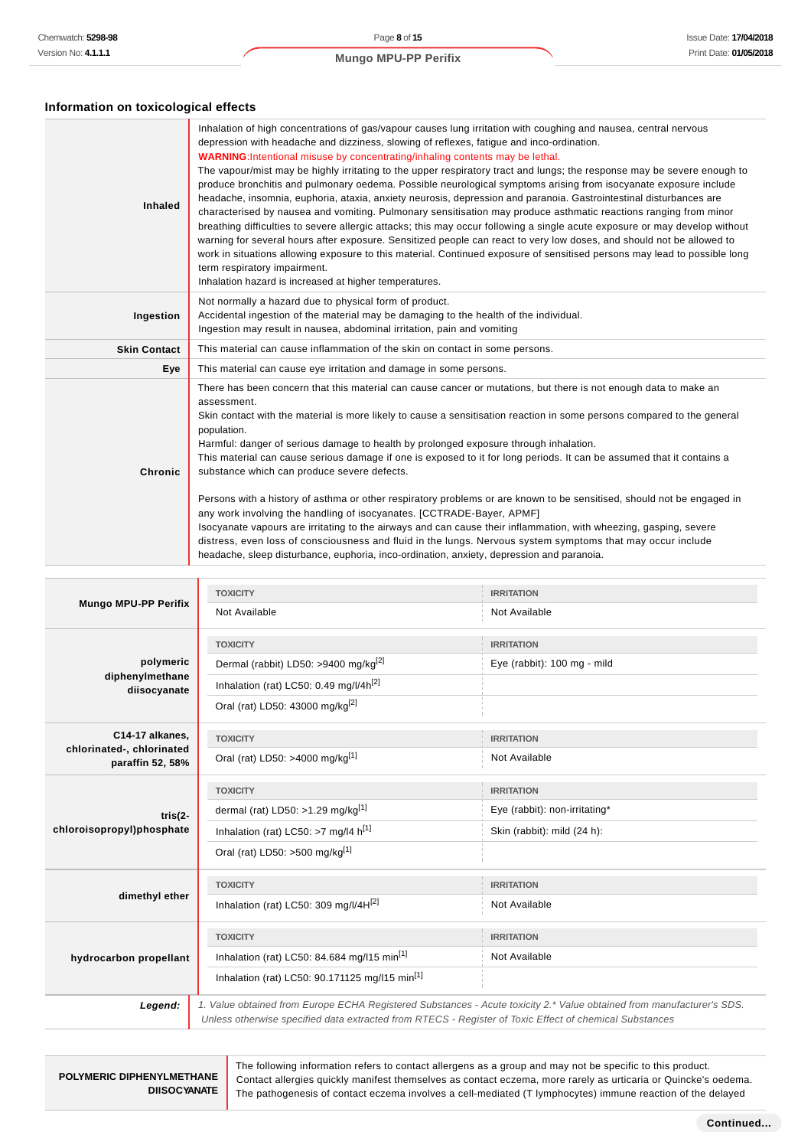# **Information on toxicological effects**

| <b>Inhaled</b>      | Inhalation of high concentrations of gas/vapour causes lung irritation with coughing and nausea, central nervous<br>depression with headache and dizziness, slowing of reflexes, fatigue and inco-ordination.<br>WARNING: Intentional misuse by concentrating/inhaling contents may be lethal.<br>The vapour/mist may be highly irritating to the upper respiratory tract and lungs; the response may be severe enough to<br>produce bronchitis and pulmonary oedema. Possible neurological symptoms arising from isocyanate exposure include<br>headache, insomnia, euphoria, ataxia, anxiety neurosis, depression and paranoia. Gastrointestinal disturbances are<br>characterised by nausea and vomiting. Pulmonary sensitisation may produce asthmatic reactions ranging from minor<br>breathing difficulties to severe allergic attacks; this may occur following a single acute exposure or may develop without<br>warning for several hours after exposure. Sensitized people can react to very low doses, and should not be allowed to<br>work in situations allowing exposure to this material. Continued exposure of sensitised persons may lead to possible long<br>term respiratory impairment.<br>Inhalation hazard is increased at higher temperatures. |
|---------------------|-----------------------------------------------------------------------------------------------------------------------------------------------------------------------------------------------------------------------------------------------------------------------------------------------------------------------------------------------------------------------------------------------------------------------------------------------------------------------------------------------------------------------------------------------------------------------------------------------------------------------------------------------------------------------------------------------------------------------------------------------------------------------------------------------------------------------------------------------------------------------------------------------------------------------------------------------------------------------------------------------------------------------------------------------------------------------------------------------------------------------------------------------------------------------------------------------------------------------------------------------------------------------|
| Ingestion           | Not normally a hazard due to physical form of product.<br>Accidental ingestion of the material may be damaging to the health of the individual.<br>Ingestion may result in nausea, abdominal irritation, pain and vomiting                                                                                                                                                                                                                                                                                                                                                                                                                                                                                                                                                                                                                                                                                                                                                                                                                                                                                                                                                                                                                                            |
| <b>Skin Contact</b> | This material can cause inflammation of the skin on contact in some persons.                                                                                                                                                                                                                                                                                                                                                                                                                                                                                                                                                                                                                                                                                                                                                                                                                                                                                                                                                                                                                                                                                                                                                                                          |
| Eye                 | This material can cause eye irritation and damage in some persons.                                                                                                                                                                                                                                                                                                                                                                                                                                                                                                                                                                                                                                                                                                                                                                                                                                                                                                                                                                                                                                                                                                                                                                                                    |
| Chronic             | There has been concern that this material can cause cancer or mutations, but there is not enough data to make an<br>assessment.<br>Skin contact with the material is more likely to cause a sensitisation reaction in some persons compared to the general<br>population.<br>Harmful: danger of serious damage to health by prolonged exposure through inhalation.<br>This material can cause serious damage if one is exposed to it for long periods. It can be assumed that it contains a<br>substance which can produce severe defects.<br>Persons with a history of asthma or other respiratory problems or are known to be sensitised, should not be engaged in<br>any work involving the handling of isocyanates. [CCTRADE-Bayer, APMF]<br>Isocyanate vapours are irritating to the airways and can cause their inflammation, with wheezing, gasping, severe<br>distress, even loss of consciousness and fluid in the lungs. Nervous system symptoms that may occur include<br>headache, sleep disturbance, euphoria, inco-ordination, anxiety, depression and paranoia.                                                                                                                                                                                        |

| <b>Mungo MPU-PP Perifix</b>                   | <b>TOXICITY</b>                                                                                                                                                                                                                 | <b>IRRITATION</b>             |
|-----------------------------------------------|---------------------------------------------------------------------------------------------------------------------------------------------------------------------------------------------------------------------------------|-------------------------------|
|                                               | Not Available                                                                                                                                                                                                                   | Not Available                 |
|                                               | <b>TOXICITY</b>                                                                                                                                                                                                                 | <b>IRRITATION</b>             |
| polymeric                                     | Dermal (rabbit) LD50: >9400 mg/kg <sup>[2]</sup>                                                                                                                                                                                | Eye (rabbit): 100 mg - mild   |
| diphenylmethane<br>diisocyanate               | Inhalation (rat) LC50: 0.49 mg/l/4h <sup>[2]</sup>                                                                                                                                                                              |                               |
|                                               | Oral (rat) LD50: 43000 mg/kg <sup>[2]</sup>                                                                                                                                                                                     |                               |
| C14-17 alkanes,                               | <b>TOXICITY</b>                                                                                                                                                                                                                 | <b>IRRITATION</b>             |
| chlorinated-, chlorinated<br>paraffin 52, 58% | Oral (rat) LD50: >4000 mg/kg <sup>[1]</sup>                                                                                                                                                                                     | Not Available                 |
|                                               | <b>TOXICITY</b>                                                                                                                                                                                                                 | <b>IRRITATION</b>             |
| $tris(2-$                                     | dermal (rat) LD50: >1.29 mg/kg[1]                                                                                                                                                                                               | Eye (rabbit): non-irritating* |
| chloroisopropyl)phosphate                     | Inhalation (rat) LC50: >7 mg/l4 $h^{[1]}$                                                                                                                                                                                       | Skin (rabbit): mild (24 h):   |
|                                               | Oral (rat) LD50: >500 mg/kg <sup>[1]</sup>                                                                                                                                                                                      |                               |
|                                               | <b>TOXICITY</b>                                                                                                                                                                                                                 | <b>IRRITATION</b>             |
| dimethyl ether                                | Inhalation (rat) LC50: 309 mg/l/4H[2]                                                                                                                                                                                           | Not Available                 |
|                                               | <b>TOXICITY</b>                                                                                                                                                                                                                 | <b>IRRITATION</b>             |
| hydrocarbon propellant                        | Inhalation (rat) LC50: 84.684 mg/l15 min <sup>[1]</sup>                                                                                                                                                                         | Not Available                 |
|                                               | Inhalation (rat) LC50: 90.171125 mg/l15 min <sup>[1]</sup>                                                                                                                                                                      |                               |
| Legend:                                       | 1. Value obtained from Europe ECHA Registered Substances - Acute toxicity 2.* Value obtained from manufacturer's SDS.<br>Unless otherwise specified data extracted from RTECS - Register of Toxic Effect of chemical Substances |                               |

| POLYMERIC DIPHENYLMETHANE | The following information refers to contact allergens as a group and may not be specific to this product.<br>Contact allergies quickly manifest themselves as contact eczema, more rarely as urticaria or Quincke's oedema. |
|---------------------------|-----------------------------------------------------------------------------------------------------------------------------------------------------------------------------------------------------------------------------|
|                           |                                                                                                                                                                                                                             |
| <b>DIISOCYANATE</b>       | The pathogenesis of contact eczema involves a cell-mediated (T lymphocytes) immune reaction of the delayed                                                                                                                  |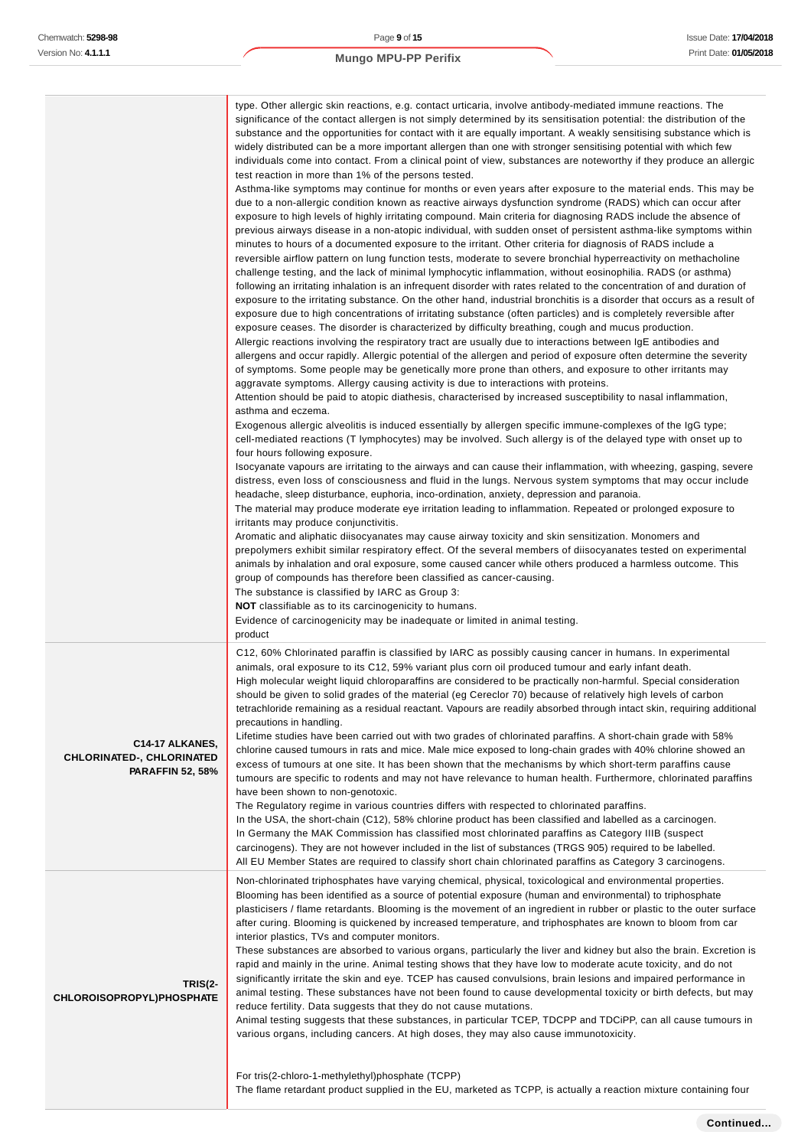|                                                                                | type. Other allergic skin reactions, e.g. contact urticaria, involve antibody-mediated immune reactions. The<br>significance of the contact allergen is not simply determined by its sensitisation potential: the distribution of the<br>substance and the opportunities for contact with it are equally important. A weakly sensitising substance which is<br>widely distributed can be a more important allergen than one with stronger sensitising potential with which few<br>individuals come into contact. From a clinical point of view, substances are noteworthy if they produce an allergic<br>test reaction in more than 1% of the persons tested.<br>Asthma-like symptoms may continue for months or even years after exposure to the material ends. This may be<br>due to a non-allergic condition known as reactive airways dysfunction syndrome (RADS) which can occur after<br>exposure to high levels of highly irritating compound. Main criteria for diagnosing RADS include the absence of<br>previous airways disease in a non-atopic individual, with sudden onset of persistent asthma-like symptoms within<br>minutes to hours of a documented exposure to the irritant. Other criteria for diagnosis of RADS include a<br>reversible airflow pattern on lung function tests, moderate to severe bronchial hyperreactivity on methacholine<br>challenge testing, and the lack of minimal lymphocytic inflammation, without eosinophilia. RADS (or asthma)<br>following an irritating inhalation is an infrequent disorder with rates related to the concentration of and duration of<br>exposure to the irritating substance. On the other hand, industrial bronchitis is a disorder that occurs as a result of<br>exposure due to high concentrations of irritating substance (often particles) and is completely reversible after<br>exposure ceases. The disorder is characterized by difficulty breathing, cough and mucus production.<br>Allergic reactions involving the respiratory tract are usually due to interactions between IgE antibodies and<br>allergens and occur rapidly. Allergic potential of the allergen and period of exposure often determine the severity<br>of symptoms. Some people may be genetically more prone than others, and exposure to other irritants may<br>aggravate symptoms. Allergy causing activity is due to interactions with proteins.<br>Attention should be paid to atopic diathesis, characterised by increased susceptibility to nasal inflammation,<br>asthma and eczema.<br>Exogenous allergic alveolitis is induced essentially by allergen specific immune-complexes of the IgG type;<br>cell-mediated reactions (T lymphocytes) may be involved. Such allergy is of the delayed type with onset up to<br>four hours following exposure.<br>Isocyanate vapours are irritating to the airways and can cause their inflammation, with wheezing, gasping, severe<br>distress, even loss of consciousness and fluid in the lungs. Nervous system symptoms that may occur include<br>headache, sleep disturbance, euphoria, inco-ordination, anxiety, depression and paranoia.<br>The material may produce moderate eye irritation leading to inflammation. Repeated or prolonged exposure to<br>irritants may produce conjunctivitis.<br>Aromatic and aliphatic diisocyanates may cause airway toxicity and skin sensitization. Monomers and<br>prepolymers exhibit similar respiratory effect. Of the several members of diisocyanates tested on experimental<br>animals by inhalation and oral exposure, some caused cancer while others produced a harmless outcome. This<br>group of compounds has therefore been classified as cancer-causing.<br>The substance is classified by IARC as Group 3:<br><b>NOT</b> classifiable as to its carcinogenicity to humans.<br>Evidence of carcinogenicity may be inadequate or limited in animal testing. |
|--------------------------------------------------------------------------------|--------------------------------------------------------------------------------------------------------------------------------------------------------------------------------------------------------------------------------------------------------------------------------------------------------------------------------------------------------------------------------------------------------------------------------------------------------------------------------------------------------------------------------------------------------------------------------------------------------------------------------------------------------------------------------------------------------------------------------------------------------------------------------------------------------------------------------------------------------------------------------------------------------------------------------------------------------------------------------------------------------------------------------------------------------------------------------------------------------------------------------------------------------------------------------------------------------------------------------------------------------------------------------------------------------------------------------------------------------------------------------------------------------------------------------------------------------------------------------------------------------------------------------------------------------------------------------------------------------------------------------------------------------------------------------------------------------------------------------------------------------------------------------------------------------------------------------------------------------------------------------------------------------------------------------------------------------------------------------------------------------------------------------------------------------------------------------------------------------------------------------------------------------------------------------------------------------------------------------------------------------------------------------------------------------------------------------------------------------------------------------------------------------------------------------------------------------------------------------------------------------------------------------------------------------------------------------------------------------------------------------------------------------------------------------------------------------------------------------------------------------------------------------------------------------------------------------------------------------------------------------------------------------------------------------------------------------------------------------------------------------------------------------------------------------------------------------------------------------------------------------------------------------------------------------------------------------------------------------------------------------------------------------------------------------------------------------------------------------------------------------------------------------------------------------------------------------------------------------------------------------------------------------------------------------------------------------------------------------------------------------------------------------------------------------------------------------------------------------------------------------------------------------------------------------------------------------------------------------------------------------------------------------------------------------|
| C14-17 ALKANES,<br><b>CHLORINATED-, CHLORINATED</b><br><b>PARAFFIN 52, 58%</b> | product<br>C12, 60% Chlorinated paraffin is classified by IARC as possibly causing cancer in humans. In experimental<br>animals, oral exposure to its C12, 59% variant plus corn oil produced tumour and early infant death.<br>High molecular weight liquid chloroparaffins are considered to be practically non-harmful. Special consideration<br>should be given to solid grades of the material (eg Cereclor 70) because of relatively high levels of carbon<br>tetrachloride remaining as a residual reactant. Vapours are readily absorbed through intact skin, requiring additional<br>precautions in handling.<br>Lifetime studies have been carried out with two grades of chlorinated paraffins. A short-chain grade with 58%<br>chlorine caused tumours in rats and mice. Male mice exposed to long-chain grades with 40% chlorine showed an<br>excess of tumours at one site. It has been shown that the mechanisms by which short-term paraffins cause<br>tumours are specific to rodents and may not have relevance to human health. Furthermore, chlorinated paraffins<br>have been shown to non-genotoxic.<br>The Regulatory regime in various countries differs with respected to chlorinated paraffins.<br>In the USA, the short-chain (C12), 58% chlorine product has been classified and labelled as a carcinogen.<br>In Germany the MAK Commission has classified most chlorinated paraffins as Category IIIB (suspect<br>carcinogens). They are not however included in the list of substances (TRGS 905) required to be labelled.<br>All EU Member States are required to classify short chain chlorinated paraffins as Category 3 carcinogens.                                                                                                                                                                                                                                                                                                                                                                                                                                                                                                                                                                                                                                                                                                                                                                                                                                                                                                                                                                                                                                                                                                                                                                                                                                                                                                                                                                                                                                                                                                                                                                                                                                                                                                                                                                                                                                                                                                                                                                                                                                                                                                                                                                                                                                                         |
| TRIS(2-<br>CHLOROISOPROPYL)PHOSPHATE                                           | Non-chlorinated triphosphates have varying chemical, physical, toxicological and environmental properties.<br>Blooming has been identified as a source of potential exposure (human and environmental) to triphosphate<br>plasticisers / flame retardants. Blooming is the movement of an ingredient in rubber or plastic to the outer surface<br>after curing. Blooming is quickened by increased temperature, and triphosphates are known to bloom from car<br>interior plastics, TVs and computer monitors.<br>These substances are absorbed to various organs, particularly the liver and kidney but also the brain. Excretion is<br>rapid and mainly in the urine. Animal testing shows that they have low to moderate acute toxicity, and do not<br>significantly irritate the skin and eye. TCEP has caused convulsions, brain lesions and impaired performance in<br>animal testing. These substances have not been found to cause developmental toxicity or birth defects, but may<br>reduce fertility. Data suggests that they do not cause mutations.<br>Animal testing suggests that these substances, in particular TCEP, TDCPP and TDCiPP, can all cause tumours in<br>various organs, including cancers. At high doses, they may also cause immunotoxicity.<br>For tris(2-chloro-1-methylethyl)phosphate (TCPP)<br>The flame retardant product supplied in the EU, marketed as TCPP, is actually a reaction mixture containing four                                                                                                                                                                                                                                                                                                                                                                                                                                                                                                                                                                                                                                                                                                                                                                                                                                                                                                                                                                                                                                                                                                                                                                                                                                                                                                                                                                                                                                                                                                                                                                                                                                                                                                                                                                                                                                                                                                                                                                                                                                                                                                                                                                                                                                                                                                                                                                                                                                                                             |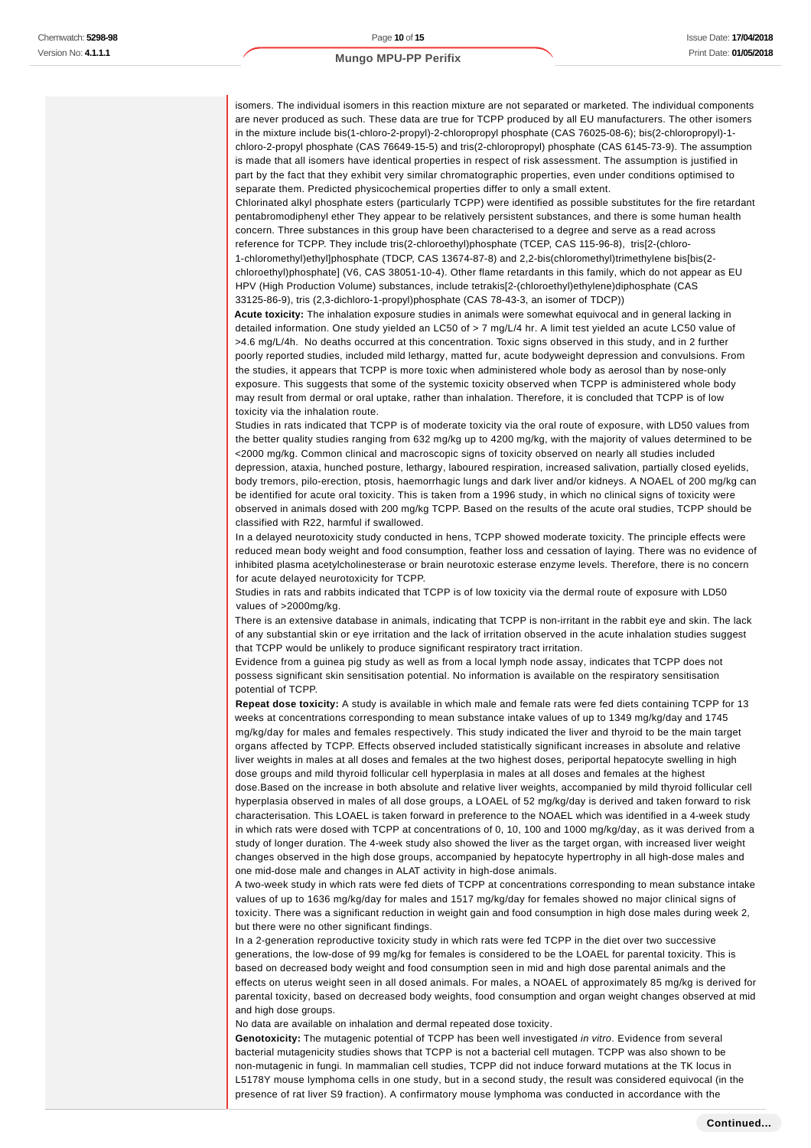isomers. The individual isomers in this reaction mixture are not separated or marketed. The individual components are never produced as such. These data are true for TCPP produced by all EU manufacturers. The other isomers in the mixture include bis(1-chloro-2-propyl)-2-chloropropyl phosphate (CAS 76025-08-6); bis(2-chloropropyl)-1 chloro-2-propyl phosphate (CAS 76649-15-5) and tris(2-chloropropyl) phosphate (CAS 6145-73-9). The assumption is made that all isomers have identical properties in respect of risk assessment. The assumption is justified in part by the fact that they exhibit very similar chromatographic properties, even under conditions optimised to separate them. Predicted physicochemical properties differ to only a small extent.

Chlorinated alkyl phosphate esters (particularly TCPP) were identified as possible substitutes for the fire retardant pentabromodiphenyl ether They appear to be relatively persistent substances, and there is some human health concern. Three substances in this group have been characterised to a degree and serve as a read across reference for TCPP. They include tris(2-chloroethyl)phosphate (TCEP, CAS 115-96-8), tris[2-(chloro-1-chloromethyl)ethyl]phosphate (TDCP, CAS 13674-87-8) and 2,2-bis(chloromethyl)trimethylene bis[bis(2 chloroethyl)phosphate] (V6, CAS 38051-10-4). Other flame retardants in this family, which do not appear as EU HPV (High Production Volume) substances, include tetrakis[2-(chloroethyl)ethylene)diphosphate (CAS 33125-86-9), tris (2,3-dichloro-1-propyl)phosphate (CAS 78-43-3, an isomer of TDCP))

**Acute toxicity:** The inhalation exposure studies in animals were somewhat equivocal and in general lacking in detailed information. One study yielded an LC50 of > 7 mg/L/4 hr. A limit test yielded an acute LC50 value of >4.6 mg/L/4h. No deaths occurred at this concentration. Toxic signs observed in this study, and in 2 further poorly reported studies, included mild lethargy, matted fur, acute bodyweight depression and convulsions. From the studies, it appears that TCPP is more toxic when administered whole body as aerosol than by nose-only exposure. This suggests that some of the systemic toxicity observed when TCPP is administered whole body may result from dermal or oral uptake, rather than inhalation. Therefore, it is concluded that TCPP is of low toxicity via the inhalation route.

Studies in rats indicated that TCPP is of moderate toxicity via the oral route of exposure, with LD50 values from the better quality studies ranging from 632 mg/kg up to 4200 mg/kg, with the majority of values determined to be <2000 mg/kg. Common clinical and macroscopic signs of toxicity observed on nearly all studies included depression, ataxia, hunched posture, lethargy, laboured respiration, increased salivation, partially closed eyelids, body tremors, pilo-erection, ptosis, haemorrhagic lungs and dark liver and/or kidneys. A NOAEL of 200 mg/kg can be identified for acute oral toxicity. This is taken from a 1996 study, in which no clinical signs of toxicity were observed in animals dosed with 200 mg/kg TCPP. Based on the results of the acute oral studies, TCPP should be classified with R22, harmful if swallowed.

In a delayed neurotoxicity study conducted in hens, TCPP showed moderate toxicity. The principle effects were reduced mean body weight and food consumption, feather loss and cessation of laying. There was no evidence of inhibited plasma acetylcholinesterase or brain neurotoxic esterase enzyme levels. Therefore, there is no concern for acute delayed neurotoxicity for TCPP.

Studies in rats and rabbits indicated that TCPP is of low toxicity via the dermal route of exposure with LD50 values of >2000mg/kg.

There is an extensive database in animals, indicating that TCPP is non-irritant in the rabbit eye and skin. The lack of any substantial skin or eye irritation and the lack of irritation observed in the acute inhalation studies suggest that TCPP would be unlikely to produce significant respiratory tract irritation.

Evidence from a guinea pig study as well as from a local lymph node assay, indicates that TCPP does not possess significant skin sensitisation potential. No information is available on the respiratory sensitisation potential of TCPP.

**Repeat dose toxicity:** A study is available in which male and female rats were fed diets containing TCPP for 13 weeks at concentrations corresponding to mean substance intake values of up to 1349 mg/kg/day and 1745 mg/kg/day for males and females respectively. This study indicated the liver and thyroid to be the main target organs affected by TCPP. Effects observed included statistically significant increases in absolute and relative liver weights in males at all doses and females at the two highest doses, periportal hepatocyte swelling in high dose groups and mild thyroid follicular cell hyperplasia in males at all doses and females at the highest dose.Based on the increase in both absolute and relative liver weights, accompanied by mild thyroid follicular cell hyperplasia observed in males of all dose groups, a LOAEL of 52 mg/kg/day is derived and taken forward to risk characterisation. This LOAEL is taken forward in preference to the NOAEL which was identified in a 4-week study in which rats were dosed with TCPP at concentrations of 0, 10, 100 and 1000 mg/kg/day, as it was derived from a study of longer duration. The 4-week study also showed the liver as the target organ, with increased liver weight changes observed in the high dose groups, accompanied by hepatocyte hypertrophy in all high-dose males and one mid-dose male and changes in ALAT activity in high-dose animals.

A two-week study in which rats were fed diets of TCPP at concentrations corresponding to mean substance intake values of up to 1636 mg/kg/day for males and 1517 mg/kg/day for females showed no major clinical signs of toxicity. There was a significant reduction in weight gain and food consumption in high dose males during week 2, but there were no other significant findings.

In a 2-generation reproductive toxicity study in which rats were fed TCPP in the diet over two successive generations, the low-dose of 99 mg/kg for females is considered to be the LOAEL for parental toxicity. This is based on decreased body weight and food consumption seen in mid and high dose parental animals and the effects on uterus weight seen in all dosed animals. For males, a NOAEL of approximately 85 mg/kg is derived for parental toxicity, based on decreased body weights, food consumption and organ weight changes observed at mid and high dose groups.

No data are available on inhalation and dermal repeated dose toxicity.

Genotoxicity: The mutagenic potential of TCPP has been well investigated *in vitro*. Evidence from several bacterial mutagenicity studies shows that TCPP is not a bacterial cell mutagen. TCPP was also shown to be non-mutagenic in fungi. In mammalian cell studies, TCPP did not induce forward mutations at the TK locus in L5178Y mouse lymphoma cells in one study, but in a second study, the result was considered equivocal (in the presence of rat liver S9 fraction). A confirmatory mouse lymphoma was conducted in accordance with the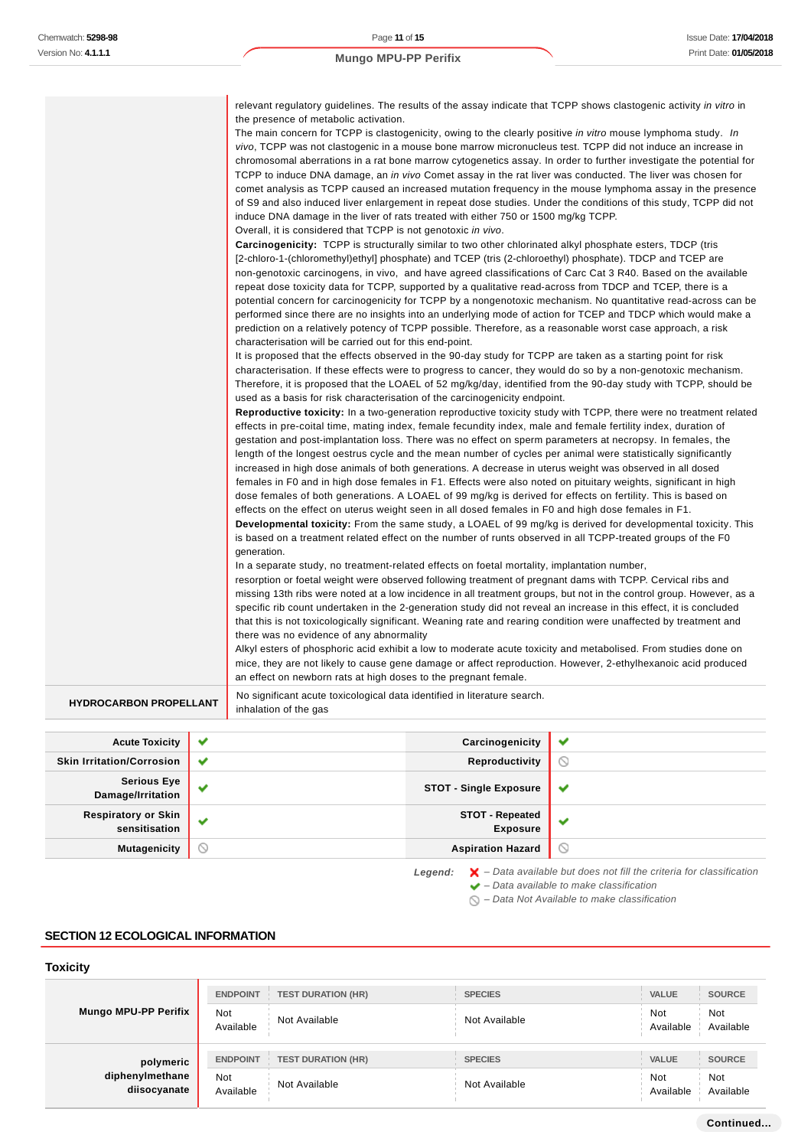ï

## **Mungo MPU-PP Perifix**

| <b>HYDROCARBON PROPELLANT</b> | No significant acute toxicological data identified in literature search.<br>inhalation of the gas                                                                                                                                                                                                                                                                                                                                                                                                                                                                                                                                                                                                                                                                                                                                                                                                                                                                                                                                                                                                                                                                                                                                                                                                                                                                                                                                                                                                                                                                                                                                                                                                                                                                                                                                                                                                                                                                                                                                                                                                                                                                                                                                                                                                                                                                                                                                                                                                                                                                                                                                                                                                                                                                                                                                                                                                                                                                                                                                                                                                                                                                                                                                                                                                                                                                                                                                                                                                                                                                                                                                                                                                                                                                                                                                                                                                                                                                                                                                                                                                                                                                  |
|-------------------------------|--------------------------------------------------------------------------------------------------------------------------------------------------------------------------------------------------------------------------------------------------------------------------------------------------------------------------------------------------------------------------------------------------------------------------------------------------------------------------------------------------------------------------------------------------------------------------------------------------------------------------------------------------------------------------------------------------------------------------------------------------------------------------------------------------------------------------------------------------------------------------------------------------------------------------------------------------------------------------------------------------------------------------------------------------------------------------------------------------------------------------------------------------------------------------------------------------------------------------------------------------------------------------------------------------------------------------------------------------------------------------------------------------------------------------------------------------------------------------------------------------------------------------------------------------------------------------------------------------------------------------------------------------------------------------------------------------------------------------------------------------------------------------------------------------------------------------------------------------------------------------------------------------------------------------------------------------------------------------------------------------------------------------------------------------------------------------------------------------------------------------------------------------------------------------------------------------------------------------------------------------------------------------------------------------------------------------------------------------------------------------------------------------------------------------------------------------------------------------------------------------------------------------------------------------------------------------------------------------------------------------------------------------------------------------------------------------------------------------------------------------------------------------------------------------------------------------------------------------------------------------------------------------------------------------------------------------------------------------------------------------------------------------------------------------------------------------------------------------------------------------------------------------------------------------------------------------------------------------------------------------------------------------------------------------------------------------------------------------------------------------------------------------------------------------------------------------------------------------------------------------------------------------------------------------------------------------------------------------------------------------------------------------------------------------------------------------------------------------------------------------------------------------------------------------------------------------------------------------------------------------------------------------------------------------------------------------------------------------------------------------------------------------------------------------------------------------------------------------------------------------------------------------------------------|
|                               | vivo, TCPP was not clastogenic in a mouse bone marrow micronucleus test. TCPP did not induce an increase in<br>chromosomal aberrations in a rat bone marrow cytogenetics assay. In order to further investigate the potential for<br>TCPP to induce DNA damage, an in vivo Comet assay in the rat liver was conducted. The liver was chosen for<br>comet analysis as TCPP caused an increased mutation frequency in the mouse lymphoma assay in the presence<br>of S9 and also induced liver enlargement in repeat dose studies. Under the conditions of this study, TCPP did not<br>induce DNA damage in the liver of rats treated with either 750 or 1500 mg/kg TCPP.<br>Overall, it is considered that TCPP is not genotoxic in vivo.<br><b>Carcinogenicity:</b> TCPP is structurally similar to two other chlorinated alkyl phosphate esters, TDCP (tris<br>[2-chloro-1-(chloromethyl)ethyl] phosphate) and TCEP (tris (2-chloroethyl) phosphate). TDCP and TCEP are<br>non-genotoxic carcinogens, in vivo, and have agreed classifications of Carc Cat 3 R40. Based on the available<br>repeat dose toxicity data for TCPP, supported by a qualitative read-across from TDCP and TCEP, there is a<br>potential concern for carcinogenicity for TCPP by a nongenotoxic mechanism. No quantitative read-across can be<br>performed since there are no insights into an underlying mode of action for TCEP and TDCP which would make a<br>prediction on a relatively potency of TCPP possible. Therefore, as a reasonable worst case approach, a risk<br>characterisation will be carried out for this end-point.<br>It is proposed that the effects observed in the 90-day study for TCPP are taken as a starting point for risk<br>characterisation. If these effects were to progress to cancer, they would do so by a non-genotoxic mechanism.<br>Therefore, it is proposed that the LOAEL of 52 mg/kg/day, identified from the 90-day study with TCPP, should be<br>used as a basis for risk characterisation of the carcinogenicity endpoint.<br>Reproductive toxicity: In a two-generation reproductive toxicity study with TCPP, there were no treatment related<br>effects in pre-coital time, mating index, female fecundity index, male and female fertility index, duration of<br>gestation and post-implantation loss. There was no effect on sperm parameters at necropsy. In females, the<br>length of the longest oestrus cycle and the mean number of cycles per animal were statistically significantly<br>increased in high dose animals of both generations. A decrease in uterus weight was observed in all dosed<br>females in F0 and in high dose females in F1. Effects were also noted on pituitary weights, significant in high<br>dose females of both generations. A LOAEL of 99 mg/kg is derived for effects on fertility. This is based on<br>effects on the effect on uterus weight seen in all dosed females in F0 and high dose females in F1.<br>Developmental toxicity: From the same study, a LOAEL of 99 mg/kg is derived for developmental toxicity. This<br>is based on a treatment related effect on the number of runts observed in all TCPP-treated groups of the F0<br>generation.<br>In a separate study, no treatment-related effects on foetal mortality, implantation number,<br>resorption or foetal weight were observed following treatment of pregnant dams with TCPP. Cervical ribs and<br>missing 13th ribs were noted at a low incidence in all treatment groups, but not in the control group. However, as a<br>specific rib count undertaken in the 2-generation study did not reveal an increase in this effect, it is concluded<br>that this is not toxicologically significant. Weaning rate and rearing condition were unaffected by treatment and<br>there was no evidence of any abnormality<br>Alkyl esters of phosphoric acid exhibit a low to moderate acute toxicity and metabolised. From studies done on<br>mice, they are not likely to cause gene damage or affect reproduction. However, 2-ethylhexanoic acid produced<br>an effect on newborn rats at high doses to the pregnant female. |

| <b>Acute Toxicity</b>                       | $\checkmark$ | Carcinogenicity                           | $\checkmark$                    |
|---------------------------------------------|--------------|-------------------------------------------|---------------------------------|
| <b>Skin Irritation/Corrosion</b>            | $\checkmark$ | Reproductivity                            | ∾                               |
| <b>Serious Eye</b><br>Damage/Irritation     | $\checkmark$ | <b>STOT - Single Exposure</b>             | $\checkmark$                    |
| <b>Respiratory or Skin</b><br>sensitisation | $\checkmark$ | <b>STOT - Repeated</b><br><b>Exposure</b> |                                 |
| <b>Mutagenicity</b>                         | $\circ$      | <b>Aspiration Hazard</b>                  | $\scriptstyle\circlearrowright$ |

Legend:  $\mathsf{X}$  - Data available but does not fill the criteria for classification

- $\blacktriangleright$  Data available to make classification
- $\bigcirc$  Data Not Available to make classification

# **SECTION 12 ECOLOGICAL INFORMATION**

# **Toxicity**

|                                 | <b>TEST DURATION (HR)</b><br><b>ENDPOINT</b> | <b>SPECIES</b> | <b>VALUE</b><br><b>SOURCE</b>               |
|---------------------------------|----------------------------------------------|----------------|---------------------------------------------|
| <b>Mungo MPU-PP Perifix</b>     | <b>Not</b><br>Not Available<br>Available     | Not Available  | <b>Not</b><br>Not<br>Available<br>Available |
| polymeric                       | <b>ENDPOINT</b><br><b>TEST DURATION (HR)</b> | <b>SPECIES</b> | <b>VALUE</b><br><b>SOURCE</b>               |
| diphenylmethane<br>diisocyanate | Not<br>Not Available<br>Available            | Not Available  | Not<br>Not<br>Available<br>Available        |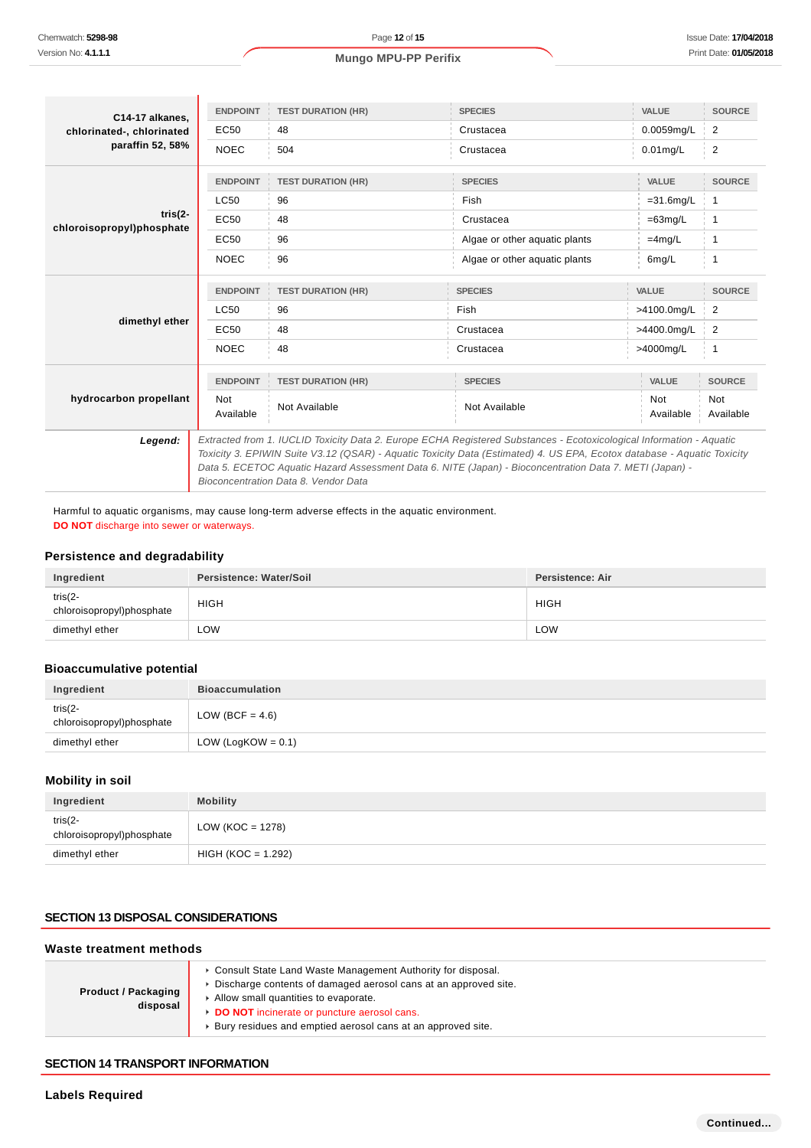| C14-17 alkanes.                      | <b>ENDPOINT</b>                                                                                                                                                                                                                                                            | <b>TEST DURATION (HR)</b> | <b>SPECIES</b>                | <b>VALUE</b>            | <b>SOURCE</b>           |
|--------------------------------------|----------------------------------------------------------------------------------------------------------------------------------------------------------------------------------------------------------------------------------------------------------------------------|---------------------------|-------------------------------|-------------------------|-------------------------|
| chlorinated-, chlorinated            | EC50                                                                                                                                                                                                                                                                       | 48                        | Crustacea                     | 0.0059mg/L              | 2                       |
| paraffin 52, 58%                     | <b>NOEC</b>                                                                                                                                                                                                                                                                | 504                       | Crustacea                     | $0.01$ mg/L             | 2                       |
|                                      | <b>ENDPOINT</b>                                                                                                                                                                                                                                                            | <b>TEST DURATION (HR)</b> | <b>SPECIES</b>                | <b>VALUE</b>            | <b>SOURCE</b>           |
|                                      | <b>LC50</b>                                                                                                                                                                                                                                                                | 96                        | Fish                          | $=31.6$ mg/L            | $\mathbf{1}$            |
| tris(2-<br>chloroisopropyl)phosphate | EC50                                                                                                                                                                                                                                                                       | 48                        | Crustacea                     | $=63$ mg/L              | 1                       |
|                                      | EC50                                                                                                                                                                                                                                                                       | 96                        | Algae or other aquatic plants | $=4mg/L$                | 1                       |
|                                      | <b>NOEC</b>                                                                                                                                                                                                                                                                | 96                        | Algae or other aquatic plants | 6mg/L                   | 1                       |
|                                      | <b>ENDPOINT</b>                                                                                                                                                                                                                                                            | <b>TEST DURATION (HR)</b> | <b>SPECIES</b>                | <b>VALUE</b>            | <b>SOURCE</b>           |
|                                      | <b>LC50</b>                                                                                                                                                                                                                                                                | 96                        | Fish                          | >4100.0mg/L             | 2                       |
| dimethyl ether                       | EC50                                                                                                                                                                                                                                                                       | 48                        | Crustacea                     | >4400.0mg/L             | 2                       |
|                                      | <b>NOEC</b>                                                                                                                                                                                                                                                                | 48                        | Crustacea                     | >4000mg/L               | $\mathbf{1}$            |
|                                      | <b>ENDPOINT</b>                                                                                                                                                                                                                                                            | <b>TEST DURATION (HR)</b> | <b>SPECIES</b>                | <b>VALUE</b>            | <b>SOURCE</b>           |
| hydrocarbon propellant               | <b>Not</b><br>Available                                                                                                                                                                                                                                                    | Not Available             | Not Available                 | <b>Not</b><br>Available | <b>Not</b><br>Available |
| Legend:                              | Extracted from 1. IUCLID Toxicity Data 2. Europe ECHA Registered Substances - Ecotoxicological Information - Aquatic                                                                                                                                                       |                           |                               |                         |                         |
|                                      | Toxicity 3. EPIWIN Suite V3.12 (QSAR) - Aquatic Toxicity Data (Estimated) 4. US EPA, Ecotox database - Aquatic Toxicity<br>Data 5. ECETOC Aquatic Hazard Assessment Data 6. NITE (Japan) - Bioconcentration Data 7. METI (Japan) -<br>Bioconcentration Data 8. Vendor Data |                           |                               |                         |                         |

Harmful to aquatic organisms, may cause long-term adverse effects in the aquatic environment. **DO NOT** discharge into sewer or waterways.

#### **Persistence and degradability**

| Ingredient                               | Persistence: Water/Soil | <b>Persistence: Air</b> |
|------------------------------------------|-------------------------|-------------------------|
| tris $(2 -$<br>chloroisopropyl)phosphate | <b>HIGH</b>             | <b>HIGH</b>             |
| dimethyl ether                           | ∟OW                     | LOW                     |

## **Bioaccumulative potential**

| Ingredient                               | <b>Bioaccumulation</b> |  |
|------------------------------------------|------------------------|--|
| tris $(2 -$<br>chloroisopropyl)phosphate | LOW (BCF = $4.6$ )     |  |
| dimethyl ether                           | LOW (LogKOW = $0.1$ )  |  |

## **Mobility in soil**

| Ingredient                               | <b>Mobility</b>      |
|------------------------------------------|----------------------|
| tris $(2 -$<br>chloroisopropyl)phosphate | LOW (KOC = 1278)     |
| dimethyl ether                           | $HIGH (KOC = 1.292)$ |

# **SECTION 13 DISPOSAL CONSIDERATIONS**

#### **Waste treatment methods**

| <b>Product / Packaging</b><br>disposal | Consult State Land Waste Management Authority for disposal.<br>Discharge contents of damaged aerosol cans at an approved site.<br>Allow small quantities to evaporate.<br>DO NOT incinerate or puncture aerosol cans.<br>Bury residues and emptied aerosol cans at an approved site. |
|----------------------------------------|--------------------------------------------------------------------------------------------------------------------------------------------------------------------------------------------------------------------------------------------------------------------------------------|
|----------------------------------------|--------------------------------------------------------------------------------------------------------------------------------------------------------------------------------------------------------------------------------------------------------------------------------------|

#### **SECTION 14 TRANSPORT INFORMATION**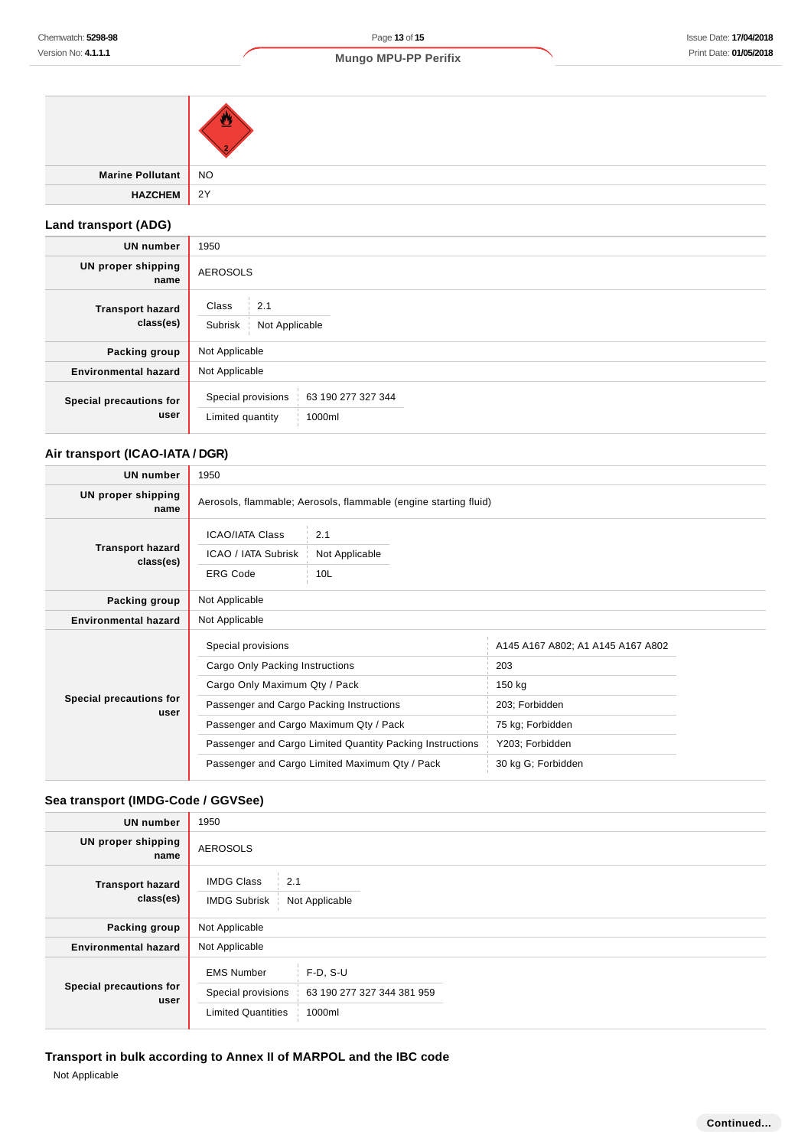| Marine Pollutant NO |    |
|---------------------|----|
| <b>HAZCHEM</b>      | 2Y |

# **Land transport (ADG)**

| <b>UN number</b>                     | 1950                                                                   |  |
|--------------------------------------|------------------------------------------------------------------------|--|
| <b>UN proper shipping</b><br>name    | <b>AEROSOLS</b>                                                        |  |
| <b>Transport hazard</b><br>class(es) | Class<br>2.1<br>Subrisk<br>Not Applicable                              |  |
| Packing group                        | Not Applicable                                                         |  |
| <b>Environmental hazard</b>          | Not Applicable                                                         |  |
| Special precautions for<br>user      | Special provisions<br>63 190 277 327 344<br>Limited quantity<br>1000ml |  |

# **Air transport (ICAO-IATA / DGR)**

| <b>UN number</b>                     | 1950                                                             |                                          |                                   |  |
|--------------------------------------|------------------------------------------------------------------|------------------------------------------|-----------------------------------|--|
| UN proper shipping<br>name           | Aerosols, flammable; Aerosols, flammable (engine starting fluid) |                                          |                                   |  |
| <b>Transport hazard</b><br>class(es) | <b>ICAO/IATA Class</b><br>ICAO / IATA Subrisk<br><b>ERG Code</b> | 2.1<br>Not Applicable<br>10 <sub>L</sub> |                                   |  |
| Packing group                        | Not Applicable                                                   |                                          |                                   |  |
| <b>Environmental hazard</b>          | Not Applicable                                                   |                                          |                                   |  |
| Special precautions for<br>user      | Special provisions                                               |                                          | A145 A167 A802; A1 A145 A167 A802 |  |
|                                      | Cargo Only Packing Instructions                                  |                                          | 203                               |  |
|                                      | Cargo Only Maximum Qty / Pack                                    |                                          | 150 kg                            |  |
|                                      | Passenger and Cargo Packing Instructions                         |                                          | 203; Forbidden                    |  |
|                                      | Passenger and Cargo Maximum Qty / Pack                           |                                          | 75 kg; Forbidden                  |  |
|                                      | Passenger and Cargo Limited Quantity Packing Instructions        |                                          | Y203; Forbidden                   |  |
|                                      | Passenger and Cargo Limited Maximum Qty / Pack                   |                                          | 30 kg G; Forbidden                |  |

# **Sea transport (IMDG-Code / GGVSee)**

| <b>UN number</b>                     | 1950                                                                 |                                                    |  |
|--------------------------------------|----------------------------------------------------------------------|----------------------------------------------------|--|
| UN proper shipping<br>name           | <b>AEROSOLS</b>                                                      |                                                    |  |
| <b>Transport hazard</b><br>class(es) | <b>IMDG Class</b><br>2.1<br><b>IMDG Subrisk</b><br>Not Applicable    |                                                    |  |
| Packing group                        | Not Applicable                                                       |                                                    |  |
| <b>Environmental hazard</b>          | Not Applicable                                                       |                                                    |  |
| Special precautions for<br>user      | <b>EMS Number</b><br>Special provisions<br><b>Limited Quantities</b> | $F-D, S-U$<br>63 190 277 327 344 381 959<br>1000ml |  |

# **Transport in bulk according to Annex II of MARPOL and the IBC code**

Not Applicable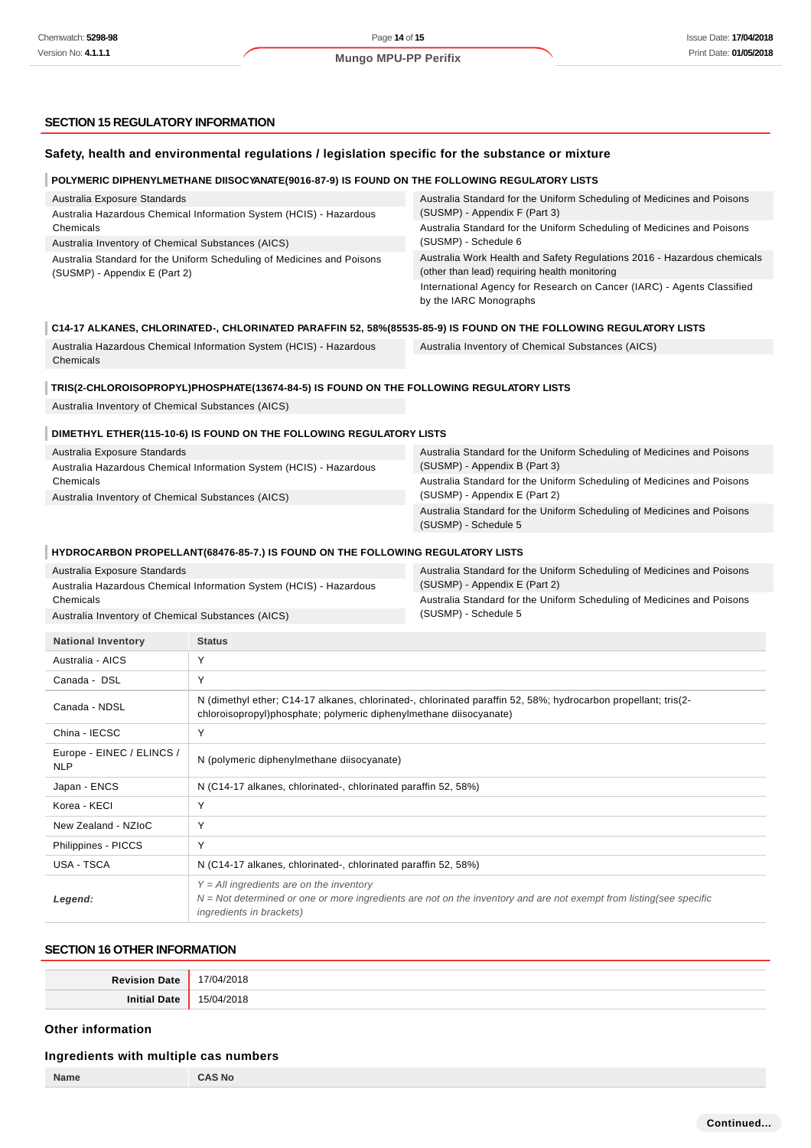## **SECTION 15 REGULATORY INFORMATION**

|                                                                                                         | Safety, health and environmental regulations / legislation specific for the substance or mixture                                                                                     |                                                                                                                                 |
|---------------------------------------------------------------------------------------------------------|--------------------------------------------------------------------------------------------------------------------------------------------------------------------------------------|---------------------------------------------------------------------------------------------------------------------------------|
|                                                                                                         | POLYMERIC DIPHENYLMETHANE DIISOCYANATE(9016-87-9) IS FOUND ON THE FOLLOWING REGULATORY LISTS                                                                                         |                                                                                                                                 |
| Australia Exposure Standards                                                                            |                                                                                                                                                                                      | Australia Standard for the Uniform Scheduling of Medicines and Poisons                                                          |
| Australia Hazardous Chemical Information System (HCIS) - Hazardous<br>Chemicals                         |                                                                                                                                                                                      | (SUSMP) - Appendix F (Part 3)<br>Australia Standard for the Uniform Scheduling of Medicines and Poisons<br>(SUSMP) - Schedule 6 |
| Australia Inventory of Chemical Substances (AICS)                                                       |                                                                                                                                                                                      |                                                                                                                                 |
| Australia Standard for the Uniform Scheduling of Medicines and Poisons<br>(SUSMP) - Appendix E (Part 2) |                                                                                                                                                                                      | Australia Work Health and Safety Regulations 2016 - Hazardous chemicals<br>(other than lead) requiring health monitoring        |
|                                                                                                         |                                                                                                                                                                                      | International Agency for Research on Cancer (IARC) - Agents Classified<br>by the IARC Monographs                                |
|                                                                                                         |                                                                                                                                                                                      | C14-17 ALKANES, CHLORINATED-, CHLORINATED PARAFFIN 52, 58%(85535-85-9) IS FOUND ON THE FOLLOWING REGULATORY LISTS               |
| Chemicals                                                                                               | Australia Hazardous Chemical Information System (HCIS) - Hazardous                                                                                                                   | Australia Inventory of Chemical Substances (AICS)                                                                               |
|                                                                                                         | TRIS(2-CHLOROISOPROPYL)PHOSPHATE(13674-84-5) IS FOUND ON THE FOLLOWING REGULATORY LISTS                                                                                              |                                                                                                                                 |
| Australia Inventory of Chemical Substances (AICS)                                                       |                                                                                                                                                                                      |                                                                                                                                 |
|                                                                                                         | DIMETHYL ETHER(115-10-6) IS FOUND ON THE FOLLOWING REGULATORY LISTS                                                                                                                  |                                                                                                                                 |
| Australia Exposure Standards                                                                            |                                                                                                                                                                                      | Australia Standard for the Uniform Scheduling of Medicines and Poisons                                                          |
|                                                                                                         | Australia Hazardous Chemical Information System (HCIS) - Hazardous                                                                                                                   | (SUSMP) - Appendix B (Part 3)                                                                                                   |
| Chemicals<br>Australia Inventory of Chemical Substances (AICS)                                          |                                                                                                                                                                                      | Australia Standard for the Uniform Scheduling of Medicines and Poisons<br>(SUSMP) - Appendix E (Part 2)                         |
|                                                                                                         |                                                                                                                                                                                      | Australia Standard for the Uniform Scheduling of Medicines and Poisons<br>(SUSMP) - Schedule 5                                  |
|                                                                                                         | HYDROCARBON PROPELLANT(68476-85-7.) IS FOUND ON THE FOLLOWING REGULATORY LISTS                                                                                                       |                                                                                                                                 |
| Australia Exposure Standards                                                                            |                                                                                                                                                                                      | Australia Standard for the Uniform Scheduling of Medicines and Poisons                                                          |
|                                                                                                         | Australia Hazardous Chemical Information System (HCIS) - Hazardous                                                                                                                   | (SUSMP) - Appendix E (Part 2)                                                                                                   |
| Chemicals<br>Australia Inventory of Chemical Substances (AICS)                                          |                                                                                                                                                                                      | Australia Standard for the Uniform Scheduling of Medicines and Poisons<br>(SUSMP) - Schedule 5                                  |
| <b>National Inventory</b>                                                                               | <b>Status</b>                                                                                                                                                                        |                                                                                                                                 |
| Australia - AICS                                                                                        | Υ                                                                                                                                                                                    |                                                                                                                                 |
| Canada - DSL                                                                                            | Υ                                                                                                                                                                                    |                                                                                                                                 |
| Canada - NDSL                                                                                           | N (dimethyl ether; C14-17 alkanes, chlorinated-, chlorinated paraffin 52, 58%; hydrocarbon propellant; tris(2-<br>chloroisopropyl)phosphate; polymeric diphenylmethane diisocyanate) |                                                                                                                                 |
| China - IECSC                                                                                           | Y                                                                                                                                                                                    |                                                                                                                                 |
| Europe - EINEC / ELINCS /<br><b>NLP</b>                                                                 | N (polymeric diphenylmethane diisocyanate)                                                                                                                                           |                                                                                                                                 |
| Japan - ENCS                                                                                            | N (C14-17 alkanes, chlorinated-, chlorinated paraffin 52, 58%)                                                                                                                       |                                                                                                                                 |
| Korea - KECI                                                                                            | Υ                                                                                                                                                                                    |                                                                                                                                 |
| New Zealand - NZIoC                                                                                     | Υ                                                                                                                                                                                    |                                                                                                                                 |
| Philippines - PICCS                                                                                     | Υ                                                                                                                                                                                    |                                                                                                                                 |
| USA - TSCA                                                                                              | N (C14-17 alkanes, chlorinated-, chlorinated paraffin 52, 58%)                                                                                                                       |                                                                                                                                 |
| Legend:                                                                                                 | $Y = All$ ingredients are on the inventory<br>ingredients in brackets)                                                                                                               | N = Not determined or one or more ingredients are not on the inventory and are not exempt from listing(see specific             |

# **SECTION 16 OTHER INFORMATION**

| <b>Revision Date</b> | 17/04/2018                 |
|----------------------|----------------------------|
| <b>Initial Date</b>  | $^{\circ}$ 1/2018<br>15/04 |

## **Other information**

## **Ingredients with multiple cas numbers**

| mgrouionto with multiple eas numbers |      |
|--------------------------------------|------|
| Name                                 | ∍ No |